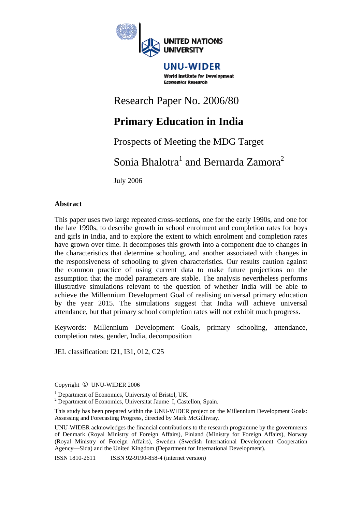

UNU-WIDER **World Institute for Development Economics Research** 

# Research Paper No. 2006/80

# **Primary Education in India**

# Prospects of Meeting the MDG Target

Sonia Bhalotra<sup>1</sup> and Bernarda Zamora<sup>2</sup>

July 2006

# **Abstract**

This paper uses two large repeated cross-sections, one for the early 1990s, and one for the late 1990s, to describe growth in school enrolment and completion rates for boys and girls in India, and to explore the extent to which enrolment and completion rates have grown over time. It decomposes this growth into a component due to changes in the characteristics that determine schooling, and another associated with changes in the responsiveness of schooling to given characteristics. Our results caution against the common practice of using current data to make future projections on the assumption that the model parameters are stable. The analysis nevertheless performs illustrative simulations relevant to the question of whether India will be able to achieve the Millennium Development Goal of realising universal primary education by the year 2015. The simulations suggest that India will achieve universal attendance, but that primary school completion rates will not exhibit much progress.

Keywords: Millennium Development Goals, primary schooling, attendance, completion rates, gender, India, decomposition

JEL classification: I21, I31, 012, C25

Copyright © UNU-WIDER 2006

This study has been prepared within the UNU-WIDER project on the Millennium Development Goals: Assessing and Forecasting Progress, directed by Mark McGillivray.

UNU-WIDER acknowledges the financial contributions to the research programme by the governments of Denmark (Royal Ministry of Foreign Affairs), Finland (Ministry for Foreign Affairs), Norway (Royal Ministry of Foreign Affairs), Sweden (Swedish International Development Cooperation Agency—Sida) and the United Kingdom (Department for International Development).

ISSN 1810-2611 ISBN 92-9190-858-4 (internet version)

<sup>&</sup>lt;sup>1</sup> Department of Economics, University of Bristol, UK.

<sup>&</sup>lt;sup>2</sup> Department of Economics, Universitat Jaume I, Castellon, Spain.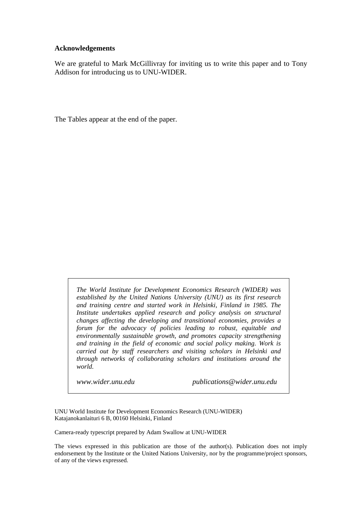#### **Acknowledgements**

We are grateful to Mark McGillivray for inviting us to write this paper and to Tony Addison for introducing us to UNU-WIDER.

The Tables appear at the end of the paper.

*The World Institute for Development Economics Research (WIDER) was established by the United Nations University (UNU) as its first research and training centre and started work in Helsinki, Finland in 1985. The Institute undertakes applied research and policy analysis on structural changes affecting the developing and transitional economies, provides a forum for the advocacy of policies leading to robust, equitable and environmentally sustainable growth, and promotes capacity strengthening and training in the field of economic and social policy making. Work is carried out by staff researchers and visiting scholars in Helsinki and through networks of collaborating scholars and institutions around the world.* 

*www.wider.unu.edu publications@wider.unu.edu* 

UNU World Institute for Development Economics Research (UNU-WIDER) Katajanokanlaituri 6 B, 00160 Helsinki, Finland

Camera-ready typescript prepared by Adam Swallow at UNU-WIDER

The views expressed in this publication are those of the author(s). Publication does not imply endorsement by the Institute or the United Nations University, nor by the programme/project sponsors, of any of the views expressed.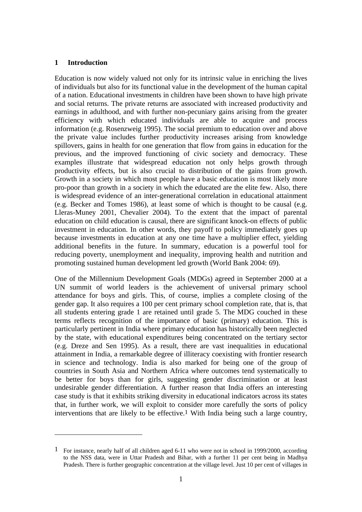# **1 Introduction**

 $\overline{a}$ 

Education is now widely valued not only for its intrinsic value in enriching the lives of individuals but also for its functional value in the development of the human capital of a nation. Educational investments in children have been shown to have high private and social returns. The private returns are associated with increased productivity and earnings in adulthood, and with further non-pecuniary gains arising from the greater efficiency with which educated individuals are able to acquire and process information (e.g. Rosenzweig 1995). The social premium to education over and above the private value includes further productivity increases arising from knowledge spillovers, gains in health for one generation that flow from gains in education for the previous, and the improved functioning of civic society and democracy. These examples illustrate that widespread education not only helps growth through productivity effects, but is also crucial to distribution of the gains from growth. Growth in a society in which most people have a basic education is most likely more pro-poor than growth in a society in which the educated are the elite few. Also, there is widespread evidence of an inter-generational correlation in educational attainment (e.g. Becker and Tomes 1986), at least some of which is thought to be causal (e.g. Lleras-Muney 2001, Chevalier 2004). To the extent that the impact of parental education on child education is causal, there are significant knock-on effects of public investment in education. In other words, they payoff to policy immediately goes up because investments in education at any one time have a multiplier effect, yielding additional benefits in the future. In summary, education is a powerful tool for reducing poverty, unemployment and inequality, improving health and nutrition and promoting sustained human development led growth (World Bank 2004: 69).

One of the Millennium Development Goals (MDGs) agreed in September 2000 at a UN summit of world leaders is the achievement of universal primary school attendance for boys and girls. This, of course, implies a complete closing of the gender gap. It also requires a 100 per cent primary school completion rate, that is, that all students entering grade 1 are retained until grade 5. The MDG couched in these terms reflects recognition of the importance of basic (primary) education. This is particularly pertinent in India where primary education has historically been neglected by the state, with educational expenditures being concentrated on the tertiary sector (e.g. Dreze and Sen 1995). As a result, there are vast inequalities in educational attainment in India, a remarkable degree of illiteracy coexisting with frontier research in science and technology. India is also marked for being one of the group of countries in South Asia and Northern Africa where outcomes tend systematically to be better for boys than for girls, suggesting gender discrimination or at least undesirable gender differentiation. A further reason that India offers an interesting case study is that it exhibits striking diversity in educational indicators across its states that, in further work, we will exploit to consider more carefully the sorts of policy interventions that are likely to be effective.1 With India being such a large country,

<sup>1</sup> For instance, nearly half of all children aged 6-11 who were not in school in 1999/2000, according to the NSS data, were in Uttar Pradesh and Bihar, with a further 11 per cent being in Madhya Pradesh. There is further geographic concentration at the village level. Just 10 per cent of villages in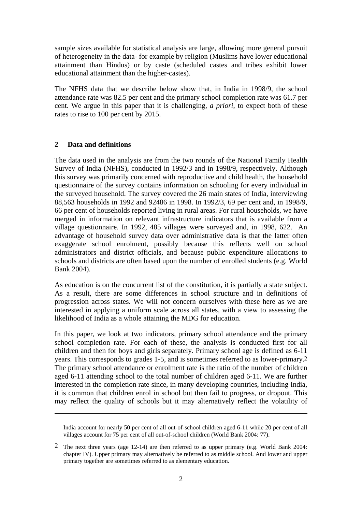sample sizes available for statistical analysis are large, allowing more general pursuit of heterogeneity in the data- for example by religion (Muslims have lower educational attainment than Hindus) or by caste (scheduled castes and tribes exhibit lower educational attainment than the higher-castes).

The NFHS data that we describe below show that, in India in 1998/9, the school attendance rate was 82.5 per cent and the primary school completion rate was 61.7 per cent. We argue in this paper that it is challenging, *a priori*, to expect both of these rates to rise to 100 per cent by 2015.

### **2 Data and definitions**

1

The data used in the analysis are from the two rounds of the National Family Health Survey of India (NFHS), conducted in 1992/3 and in 1998/9, respectively. Although this survey was primarily concerned with reproductive and child health, the household questionnaire of the survey contains information on schooling for every individual in the surveyed household. The survey covered the 26 main states of India, interviewing 88,563 households in 1992 and 92486 in 1998. In 1992/3, 69 per cent and, in 1998/9, 66 per cent of households reported living in rural areas. For rural households, we have merged in information on relevant infrastructure indicators that is available from a village questionnaire. In 1992, 485 villages were surveyed and, in 1998, 622. An advantage of household survey data over administrative data is that the latter often exaggerate school enrolment, possibly because this reflects well on school administrators and district officials, and because public expenditure allocations to schools and districts are often based upon the number of enrolled students (e.g. World Bank 2004).

As education is on the concurrent list of the constitution, it is partially a state subject. As a result, there are some differences in school structure and in definitions of progression across states. We will not concern ourselves with these here as we are interested in applying a uniform scale across all states, with a view to assessing the likelihood of India as a whole attaining the MDG for education.

In this paper, we look at two indicators, primary school attendance and the primary school completion rate. For each of these, the analysis is conducted first for all children and then for boys and girls separately. Primary school age is defined as 6-11 years. This corresponds to grades 1-5, and is sometimes referred to as lower-primary.2 The primary school attendance or enrolment rate is the ratio of the number of children aged 6-11 attending school to the total number of children aged 6-11. We are further interested in the completion rate since, in many developing countries, including India, it is common that children enrol in school but then fail to progress, or dropout. This may reflect the quality of schools but it may alternatively reflect the volatility of

India account for nearly 50 per cent of all out-of-school children aged 6-11 while 20 per cent of all villages account for 75 per cent of all out-of-school children (World Bank 2004: 77).

<sup>2</sup> The next three years (age 12-14) are then referred to as upper primary (e.g. World Bank 2004: chapter IV). Upper primary may alternatively be referred to as middle school. And lower and upper primary together are sometimes referred to as elementary education.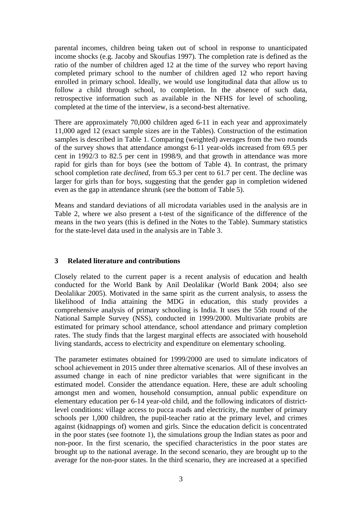parental incomes, children being taken out of school in response to unanticipated income shocks (e.g. Jacoby and Skoufias 1997). The completion rate is defined as the ratio of the number of children aged 12 at the time of the survey who report having completed primary school to the number of children aged 12 who report having enrolled in primary school. Ideally, we would use longitudinal data that allow us to follow a child through school, to completion. In the absence of such data, retrospective information such as available in the NFHS for level of schooling, completed at the time of the interview, is a second-best alternative.

There are approximately 70,000 children aged 6-11 in each year and approximately 11,000 aged 12 (exact sample sizes are in the Tables). Construction of the estimation samples is described in Table 1. Comparing (weighted) averages from the two rounds of the survey shows that attendance amongst 6-11 year-olds increased from 69.5 per cent in 1992/3 to 82.5 per cent in 1998/9, and that growth in attendance was more rapid for girls than for boys (see the bottom of Table 4). In contrast, the primary school completion rate *declined*, from 65.3 per cent to 61.7 per cent. The decline was larger for girls than for boys, suggesting that the gender gap in completion widened even as the gap in attendance shrunk (see the bottom of Table 5).

Means and standard deviations of all microdata variables used in the analysis are in Table 2, where we also present a t-test of the significance of the difference of the means in the two years (this is defined in the Notes to the Table). Summary statistics for the state-level data used in the analysis are in Table 3.

# **3 Related literature and contributions**

Closely related to the current paper is a recent analysis of education and health conducted for the World Bank by Anil Deolalikar (World Bank 2004; also see Deolalikar 2005). Motivated in the same spirit as the current analysis, to assess the likelihood of India attaining the MDG in education, this study provides a comprehensive analysis of primary schooling is India. It uses the 55th round of the National Sample Survey (NSS), conducted in 1999/2000. Multivariate probits are estimated for primary school attendance, school attendance and primary completion rates. The study finds that the largest marginal effects are associated with household living standards, access to electricity and expenditure on elementary schooling.

The parameter estimates obtained for 1999/2000 are used to simulate indicators of school achievement in 2015 under three alternative scenarios. All of these involves an assumed change in each of nine predictor variables that were significant in the estimated model. Consider the attendance equation. Here, these are adult schooling amongst men and women, household consumption, annual public expenditure on elementary education per 6-14 year-old child, and the following indicators of districtlevel conditions: village access to pucca roads and electricity, the number of primary schools per 1,000 children, the pupil-teacher ratio at the primary level, and crimes against (kidnappings of) women and girls. Since the education deficit is concentrated in the poor states (see footnote 1), the simulations group the Indian states as poor and non-poor. In the first scenario, the specified characteristics in the poor states are brought up to the national average. In the second scenario, they are brought up to the average for the non-poor states. In the third scenario, they are increased at a specified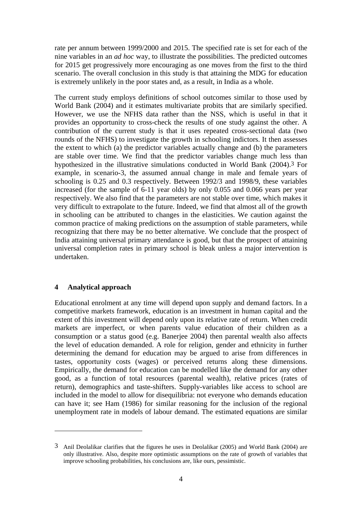rate per annum between 1999/2000 and 2015. The specified rate is set for each of the nine variables in an *ad hoc* way, to illustrate the possibilities. The predicted outcomes for 2015 get progressively more encouraging as one moves from the first to the third scenario. The overall conclusion in this study is that attaining the MDG for education is extremely unlikely in the poor states and, as a result, in India as a whole.

The current study employs definitions of school outcomes similar to those used by World Bank (2004) and it estimates multivariate probits that are similarly specified. However, we use the NFHS data rather than the NSS, which is useful in that it provides an opportunity to cross-check the results of one study against the other. A contribution of the current study is that it uses repeated cross-sectional data (two rounds of the NFHS) to investigate the growth in schooling indictors. It then assesses the extent to which (a) the predictor variables actually change and (b) the parameters are stable over time. We find that the predictor variables change much less than hypothesized in the illustrative simulations conducted in World Bank (2004).3 For example, in scenario-3, the assumed annual change in male and female years of schooling is 0.25 and 0.3 respectively. Between 1992/3 and 1998/9, these variables increased (for the sample of 6-11 year olds) by only 0.055 and 0.066 years per year respectively. We also find that the parameters are not stable over time, which makes it very difficult to extrapolate to the future. Indeed, we find that almost all of the growth in schooling can be attributed to changes in the elasticities. We caution against the common practice of making predictions on the assumption of stable parameters, while recognizing that there may be no better alternative. We conclude that the prospect of India attaining universal primary attendance is good, but that the prospect of attaining universal completion rates in primary school is bleak unless a major intervention is undertaken.

### **4 Analytical approach**

 $\overline{a}$ 

Educational enrolment at any time will depend upon supply and demand factors. In a competitive markets framework, education is an investment in human capital and the extent of this investment will depend only upon its relative rate of return. When credit markets are imperfect, or when parents value education of their children as a consumption or a status good (e.g. Banerjee 2004) then parental wealth also affects the level of education demanded. A role for religion, gender and ethnicity in further determining the demand for education may be argued to arise from differences in tastes, opportunity costs (wages) or perceived returns along these dimensions. Empirically, the demand for education can be modelled like the demand for any other good, as a function of total resources (parental wealth), relative prices (rates of return), demographics and taste-shifters. Supply-variables like access to school are included in the model to allow for disequilibria: not everyone who demands education can have it; see Ham (1986) for similar reasoning for the inclusion of the regional unemployment rate in models of labour demand. The estimated equations are similar

<sup>3</sup> Anil Deolalikar clarifies that the figures he uses in Deolalikar (2005) and World Bank (2004) are only illustrative. Also, despite more optimistic assumptions on the rate of growth of variables that improve schooling probabilities, his conclusions are, like ours, pessimistic.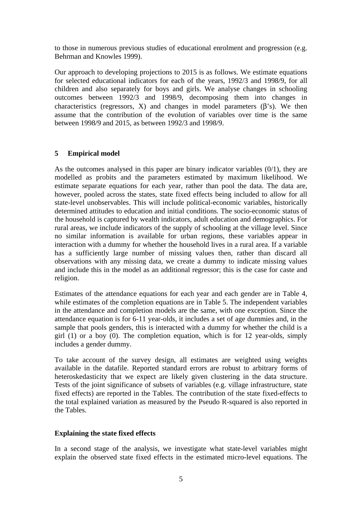to those in numerous previous studies of educational enrolment and progression (e.g. Behrman and Knowles 1999).

Our approach to developing projections to 2015 is as follows. We estimate equations for selected educational indicators for each of the years, 1992/3 and 1998/9, for all children and also separately for boys and girls. We analyse changes in schooling outcomes between 1992/3 and 1998/9, decomposing them into changes in characteristics (regressors, X) and changes in model parameters  $(\beta's)$ . We then assume that the contribution of the evolution of variables over time is the same between 1998/9 and 2015, as between 1992/3 and 1998/9.

# **5 Empirical model**

As the outcomes analysed in this paper are binary indicator variables (0/1), they are modelled as probits and the parameters estimated by maximum likelihood. We estimate separate equations for each year, rather than pool the data. The data are, however, pooled across the states, state fixed effects being included to allow for all state-level unobservables. This will include political-economic variables, historically determined attitudes to education and initial conditions. The socio-economic status of the household is captured by wealth indicators, adult education and demographics. For rural areas, we include indicators of the supply of schooling at the village level. Since no similar information is available for urban regions, these variables appear in interaction with a dummy for whether the household lives in a rural area. If a variable has a sufficiently large number of missing values then, rather than discard all observations with any missing data, we create a dummy to indicate missing values and include this in the model as an additional regressor; this is the case for caste and religion.

Estimates of the attendance equations for each year and each gender are in Table 4, while estimates of the completion equations are in Table 5. The independent variables in the attendance and completion models are the same, with one exception. Since the attendance equation is for 6-11 year-olds, it includes a set of age dummies and, in the sample that pools genders, this is interacted with a dummy for whether the child is a girl (1) or a boy (0). The completion equation, which is for 12 year-olds, simply includes a gender dummy.

To take account of the survey design, all estimates are weighted using weights available in the datafile. Reported standard errors are robust to arbitrary forms of heteroskedasticity that we expect are likely given clustering in the data structure. Tests of the joint significance of subsets of variables (e.g. village infrastructure, state fixed effects) are reported in the Tables. The contribution of the state fixed-effects to the total explained variation as measured by the Pseudo R-squared is also reported in the Tables.

### **Explaining the state fixed effects**

In a second stage of the analysis, we investigate what state-level variables might explain the observed state fixed effects in the estimated micro-level equations. The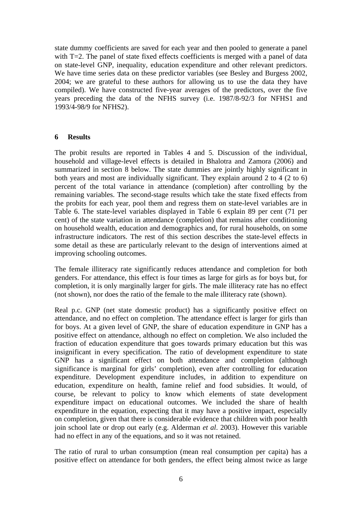state dummy coefficients are saved for each year and then pooled to generate a panel with T=2. The panel of state fixed effects coefficients is merged with a panel of data on state-level GNP, inequality, education expenditure and other relevant predictors. We have time series data on these predictor variables (see Besley and Burgess 2002, 2004; we are grateful to these authors for allowing us to use the data they have compiled). We have constructed five-year averages of the predictors, over the five years preceding the data of the NFHS survey (i.e. 1987/8-92/3 for NFHS1 and 1993/4-98/9 for NFHS2).

#### **6 Results**

The probit results are reported in Tables 4 and 5. Discussion of the individual, household and village-level effects is detailed in Bhalotra and Zamora (2006) and summarized in section 8 below. The state dummies are jointly highly significant in both years and most are individually significant. They explain around 2 to 4 (2 to 6) percent of the total variance in attendance (completion) after controlling by the remaining variables. The second-stage results which take the state fixed effects from the probits for each year, pool them and regress them on state-level variables are in Table 6. The state-level variables displayed in Table 6 explain 89 per cent (71 per cent) of the state variation in attendance (completion) that remains after conditioning on household wealth, education and demographics and, for rural households, on some infrastructure indicators. The rest of this section describes the state-level effects in some detail as these are particularly relevant to the design of interventions aimed at improving schooling outcomes.

The female illiteracy rate significantly reduces attendance and completion for both genders. For attendance, this effect is four times as large for girls as for boys but, for completion, it is only marginally larger for girls. The male illiteracy rate has no effect (not shown), nor does the ratio of the female to the male illiteracy rate (shown).

Real p.c. GNP (net state domestic product) has a significantly positive effect on attendance, and no effect on completion. The attendance effect is larger for girls than for boys. At a given level of GNP, the share of education expenditure in GNP has a positive effect on attendance, although no effect on completion. We also included the fraction of education expenditure that goes towards primary education but this was insignificant in every specification. The ratio of development expenditure to state GNP has a significant effect on both attendance and completion (although significance is marginal for girls' completion), even after controlling for education expenditure. Development expenditure includes, in addition to expenditure on education, expenditure on health, famine relief and food subsidies. It would, of course, be relevant to policy to know which elements of state development expenditure impact on educational outcomes. We included the share of health expenditure in the equation, expecting that it may have a positive impact, especially on completion, given that there is considerable evidence that children with poor health join school late or drop out early (e.g. Alderman *et al*. 2003). However this variable had no effect in any of the equations, and so it was not retained.

The ratio of rural to urban consumption (mean real consumption per capita) has a positive effect on attendance for both genders, the effect being almost twice as large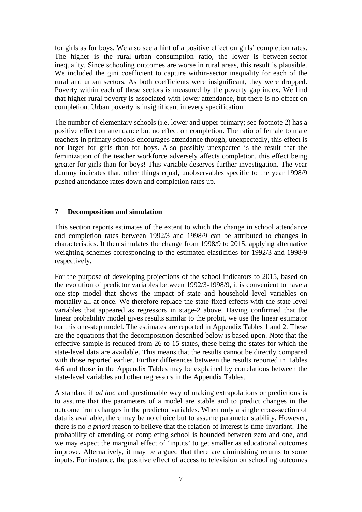for girls as for boys. We also see a hint of a positive effect on girls' completion rates. The higher is the rural–urban consumption ratio, the lower is between-sector inequality. Since schooling outcomes are worse in rural areas, this result is plausible. We included the gini coefficient to capture within-sector inequality for each of the rural and urban sectors. As both coefficients were insignificant, they were dropped. Poverty within each of these sectors is measured by the poverty gap index. We find that higher rural poverty is associated with lower attendance, but there is no effect on completion. Urban poverty is insignificant in every specification.

The number of elementary schools (i.e. lower and upper primary; see footnote 2) has a positive effect on attendance but no effect on completion. The ratio of female to male teachers in primary schools encourages attendance though, unexpectedly, this effect is not larger for girls than for boys. Also possibly unexpected is the result that the feminization of the teacher workforce adversely affects completion, this effect being greater for girls than for boys! This variable deserves further investigation. The year dummy indicates that, other things equal, unobservables specific to the year 1998/9 pushed attendance rates down and completion rates up.

# **7 Decomposition and simulation**

This section reports estimates of the extent to which the change in school attendance and completion rates between 1992/3 and 1998/9 can be attributed to changes in characteristics. It then simulates the change from 1998/9 to 2015, applying alternative weighting schemes corresponding to the estimated elasticities for 1992/3 and 1998/9 respectively.

For the purpose of developing projections of the school indicators to 2015, based on the evolution of predictor variables between 1992/3-1998/9, it is convenient to have a one-step model that shows the impact of state and household level variables on mortality all at once. We therefore replace the state fixed effects with the state-level variables that appeared as regressors in stage-2 above. Having confirmed that the linear probability model gives results similar to the probit, we use the linear estimator for this one-step model. The estimates are reported in Appendix Tables 1 and 2. These are the equations that the decomposition described below is based upon. Note that the effective sample is reduced from 26 to 15 states, these being the states for which the state-level data are available. This means that the results cannot be directly compared with those reported earlier. Further differences between the results reported in Tables 4-6 and those in the Appendix Tables may be explained by correlations between the state-level variables and other regressors in the Appendix Tables.

A standard if *ad hoc* and questionable way of making extrapolations or predictions is to assume that the parameters of a model are stable and to predict changes in the outcome from changes in the predictor variables. When only a single cross-section of data is available, there may be no choice but to assume parameter stability. However, there is no *a priori* reason to believe that the relation of interest is time-invariant. The probability of attending or completing school is bounded between zero and one, and we may expect the marginal effect of 'inputs' to get smaller as educational outcomes improve. Alternatively, it may be argued that there are diminishing returns to some inputs. For instance, the positive effect of access to television on schooling outcomes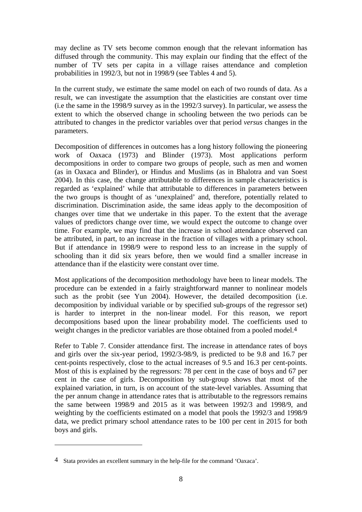may decline as TV sets become common enough that the relevant information has diffused through the community. This may explain our finding that the effect of the number of TV sets per capita in a village raises attendance and completion probabilities in 1992/3, but not in 1998/9 (see Tables 4 and 5).

In the current study, we estimate the same model on each of two rounds of data. As a result, we can investigate the assumption that the elasticities are constant over time (i.e the same in the 1998/9 survey as in the 1992/3 survey). In particular, we assess the extent to which the observed change in schooling between the two periods can be attributed to changes in the predictor variables over that period *versus* changes in the parameters.

Decomposition of differences in outcomes has a long history following the pioneering work of Oaxaca (1973) and Blinder (1973). Most applications perform decompositions in order to compare two groups of people, such as men and women (as in Oaxaca and Blinder), or Hindus and Muslims (as in Bhalotra and van Soest 2004). In this case, the change attributable to differences in sample characteristics is regarded as 'explained' while that attributable to differences in parameters between the two groups is thought of as 'unexplained' and, therefore, potentially related to discrimination. Discrimination aside, the same ideas apply to the decomposition of changes over time that we undertake in this paper. To the extent that the average values of predictors change over time, we would expect the outcome to change over time. For example, we may find that the increase in school attendance observed can be attributed, in part, to an increase in the fraction of villages with a primary school. But if attendance in 1998/9 were to respond less to an increase in the supply of schooling than it did six years before, then we would find a smaller increase in attendance than if the elasticity were constant over time.

Most applications of the decomposition methodology have been to linear models. The procedure can be extended in a fairly straightforward manner to nonlinear models such as the probit (see Yun 2004). However, the detailed decomposition (i.e. decomposition by individual variable or by specified sub-groups of the regressor set) is harder to interpret in the non-linear model. For this reason, we report decompositions based upon the linear probability model. The coefficients used to weight changes in the predictor variables are those obtained from a pooled model.4

Refer to Table 7. Consider attendance first. The increase in attendance rates of boys and girls over the six-year period, 1992/3-98/9, is predicted to be 9.8 and 16.7 per cent-points respectively, close to the actual increases of 9.5 and 16.3 per cent-points. Most of this is explained by the regressors: 78 per cent in the case of boys and 67 per cent in the case of girls. Decomposition by sub-group shows that most of the explained variation, in turn, is on account of the state-level variables. Assuming that the per annum change in attendance rates that is attributable to the regressors remains the same between 1998/9 and 2015 as it was between 1992/3 and 1998/9, and weighting by the coefficients estimated on a model that pools the 1992/3 and 1998/9 data, we predict primary school attendance rates to be 100 per cent in 2015 for both boys and girls.

 $\overline{a}$ 

<sup>4</sup> Stata provides an excellent summary in the help-file for the command 'Oaxaca'.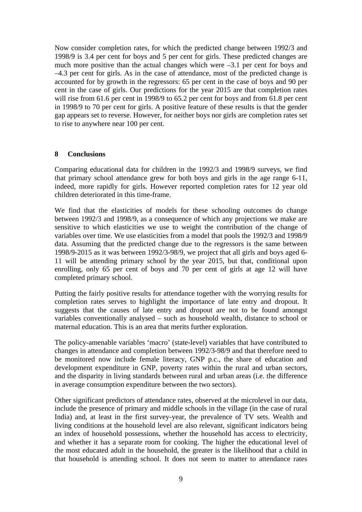Now consider completion rates, for which the predicted change between 1992/3 and 1998/9 is 3.4 per cent for boys and 5 per cent for girls. These predicted changes are much more positive than the actual changes which were –3.1 per cent for boys and –4.3 per cent for girls. As in the case of attendance, most of the predicted change is accounted for by growth in the regressors: 65 per cent in the case of boys and 90 per cent in the case of girls. Our predictions for the year 2015 are that completion rates will rise from 61.6 per cent in 1998/9 to 65.2 per cent for boys and from 61.8 per cent in 1998/9 to 70 per cent for girls. A positive feature of these results is that the gender gap appears set to reverse. However, for neither boys nor girls are completion rates set to rise to anywhere near 100 per cent.

#### **8 Conclusions**

Comparing educational data for children in the 1992/3 and 1998/9 surveys, we find that primary school attendance grew for both boys and girls in the age range 6-11, indeed, more rapidly for girls. However reported completion rates for 12 year old children deteriorated in this time-frame.

We find that the elasticities of models for these schooling outcomes do change between 1992/3 and 1998/9, as a consequence of which any projections we make are sensitive to which elasticities we use to weight the contribution of the change of variables over time. We use elasticities from a model that pools the 1992/3 and 1998/9 data. Assuming that the predicted change due to the regressors is the same between 1998/9-2015 as it was between 1992/3-98/9, we project that all girls and boys aged 6- 11 will be attending primary school by the year 2015, but that, conditional upon enrolling, only 65 per cent of boys and 70 per cent of girls at age 12 will have completed primary school.

Putting the fairly positive results for attendance together with the worrying results for completion rates serves to highlight the importance of late entry and dropout. It suggests that the causes of late entry and dropout are not to be found amongst variables conventionally analysed – such as household wealth, distance to school or maternal education. This is an area that merits further exploration.

The policy-amenable variables 'macro' (state-level) variables that have contributed to changes in attendance and completion between 1992/3-98/9 and that therefore need to be monitored now include female literacy, GNP p.c., the share of education and development expenditure in GNP, poverty rates within the rural and urban sectors, and the disparity in living standards between rural and urban areas (i.e. the difference in average consumption expenditure between the two sectors).

Other significant predictors of attendance rates, observed at the microlevel in our data, include the presence of primary and middle schools in the village (in the case of rural India) and, at least in the first survey-year, the prevalence of TV sets. Wealth and living conditions at the household level are also relevant, significant indicators being an index of household possessions, whether the household has access to electricity, and whether it has a separate room for cooking. The higher the educational level of the most educated adult in the household, the greater is the likelihood that a child in that household is attending school. It does not seem to matter to attendance rates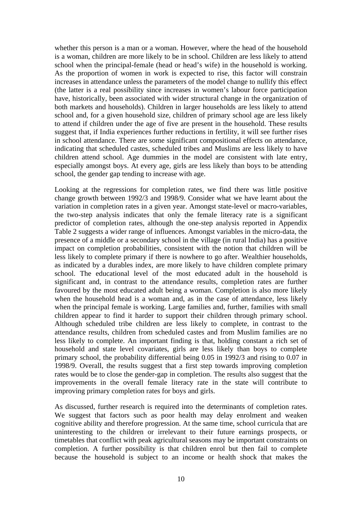whether this person is a man or a woman. However, where the head of the household is a woman, children are more likely to be in school. Children are less likely to attend school when the principal-female (head or head's wife) in the household is working. As the proportion of women in work is expected to rise, this factor will constrain increases in attendance unless the parameters of the model change to nullify this effect (the latter is a real possibility since increases in women's labour force participation have, historically, been associated with wider structural change in the organization of both markets and households). Children in larger households are less likely to attend school and, for a given household size, children of primary school age are less likely to attend if children under the age of five are present in the household. These results suggest that, if India experiences further reductions in fertility, it will see further rises in school attendance. There are some significant compositional effects on attendance, indicating that scheduled castes, scheduled tribes and Muslims are less likely to have children attend school. Age dummies in the model are consistent with late entry, especially amongst boys. At every age, girls are less likely than boys to be attending school, the gender gap tending to increase with age.

Looking at the regressions for completion rates, we find there was little positive change growth between 1992/3 and 1998/9. Consider what we have learnt about the variation in completion rates in a given year. Amongst state-level or macro-variables, the two-step analysis indicates that only the female literacy rate is a significant predictor of completion rates, although the one-step analysis reported in Appendix Table 2 suggests a wider range of influences. Amongst variables in the micro-data, the presence of a middle or a secondary school in the village (in rural India) has a positive impact on completion probabilities, consistent with the notion that children will be less likely to complete primary if there is nowhere to go after. Wealthier households, as indicated by a durables index, are more likely to have children complete primary school. The educational level of the most educated adult in the household is significant and, in contrast to the attendance results, completion rates are further favoured by the most educated adult being a woman. Completion is also more likely when the household head is a woman and, as in the case of attendance, less likely when the principal female is working. Large families and, further, families with small children appear to find it harder to support their children through primary school. Although scheduled tribe children are less likely to complete, in contrast to the attendance results, children from scheduled castes and from Muslim families are no less likely to complete. An important finding is that, holding constant a rich set of household and state level covariates, girls are less likely than boys to complete primary school, the probability differential being 0.05 in 1992/3 and rising to 0.07 in 1998/9. Overall, the results suggest that a first step towards improving completion rates would be to close the gender-gap in completion. The results also suggest that the improvements in the overall female literacy rate in the state will contribute to improving primary completion rates for boys and girls.

As discussed, further research is required into the determinants of completion rates. We suggest that factors such as poor health may delay enrolment and weaken cognitive ability and therefore progression. At the same time, school curricula that are uninteresting to the children or irrelevant to their future earnings prospects, or timetables that conflict with peak agricultural seasons may be important constraints on completion. A further possibility is that children enrol but then fail to complete because the household is subject to an income or health shock that makes the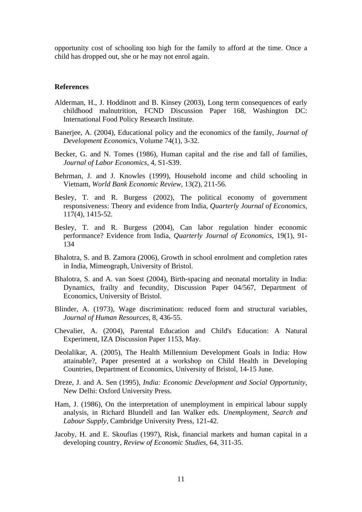opportunity cost of schooling too high for the family to afford at the time. Once a child has dropped out, she or he may not enrol again.

#### **References**

- Alderman, H., J. Hoddinott and B. Kinsey (2003), Long term consequences of early childhood malnutrition, FCND Discussion Paper 168, Washington DC: International Food Policy Research Institute.
- Banerjee, A. (2004), Educational policy and the economics of the family, *Journal of Development Economics*, Volume 74(1), 3-32.
- Becker, G. and N. Tomes (1986), Human capital and the rise and fall of families, *Journal of Labor Economics*, 4, S1-S39.
- Behrman, J. and J. Knowles (1999), Household income and child schooling in Vietnam, *World Bank Economic Review*, 13(2), 211-56.
- Besley, T. and R. Burgess (2002), The political economy of government responsiveness: Theory and evidence from India, *Quarterly Journal of Economics*, 117(4), 1415-52.
- Besley, T. and R. Burgess (2004), Can labor regulation hinder economic performance? Evidence from India, *Quarterly Journal of Economics*, 19(1), 91- 134
- Bhalotra, S. and B. Zamora (2006), Growth in school enrolment and completion rates in India, Mimeograph, University of Bristol.
- Bhalotra, S. and A. van Soest (2004), Birth-spacing and neonatal mortality in India: Dynamics, frailty and fecundity, Discussion Paper 04/567, Department of Economics, University of Bristol.
- Blinder, A. (1973), Wage discrimination: reduced form and structural variables, *Journal of Human Resources*, 8, 436-55.
- Chevalier, A. (2004), Parental Education and Child's Education: A Natural Experiment, IZA Discussion Paper 1153, May.
- Deolalikar, A. (2005), The Health Millennium Development Goals in India: How attainable?, Paper presented at a workshop on Child Health in Developing Countries, Department of Economics, University of Bristol, 14-15 June.
- Dreze, J. and A. Sen (1995), *India: Economic Development and Social Opportunity,* New Delhi: Oxford University Press.
- Ham, J. (1986), On the interpretation of unemployment in empirical labour supply analysis, in Richard Blundell and Ian Walker eds. *Unemployment, Search and Labour Supply*, Cambridge University Press, 121-42.
- Jacoby, H. and E. Skoufias (1997), Risk, financial markets and human capital in a developing country, *Review of Economic Studies*, 64, 311-35.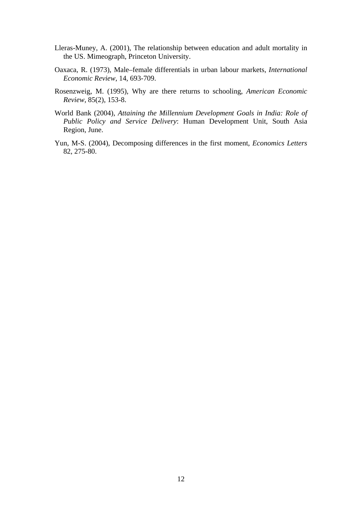- Lleras-Muney, A. (2001), The relationship between education and adult mortality in the US. Mimeograph, Princeton University.
- Oaxaca, R. (1973), Male–female differentials in urban labour markets, *International Economic Review*, 14, 693-709.
- Rosenzweig, M. (1995), Why are there returns to schooling, *American Economic Review*, 85(2), 153-8.
- World Bank (2004), *Attaining the Millennium Development Goals in India: Role of Public Policy and Service Delivery*: Human Development Unit, South Asia Region, June.
- Yun, M-S. (2004), Decomposing differences in the first moment, *Economics Letters* 82, 275-80.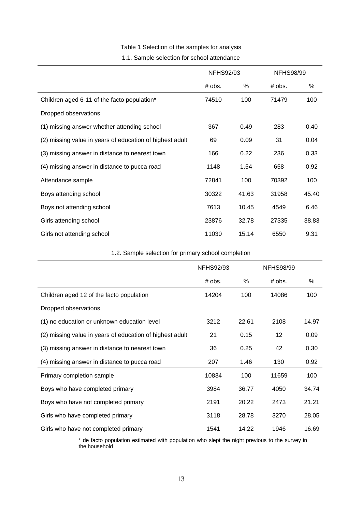# Table 1 Selection of the samples for analysis

#### 1.1. Sample selection for school attendance

|                                                          | <b>NFHS92/93</b> |       | <b>NFHS98/99</b> |       |  |
|----------------------------------------------------------|------------------|-------|------------------|-------|--|
|                                                          | ℅<br># obs.      |       | # obs.           | %     |  |
| Children aged 6-11 of the facto population*              | 74510            | 100   | 71479            | 100   |  |
| Dropped observations                                     |                  |       |                  |       |  |
| (1) missing answer whether attending school              | 367              | 0.49  | 283              | 0.40  |  |
| (2) missing value in years of education of highest adult | 69               | 0.09  | 31               | 0.04  |  |
| (3) missing answer in distance to nearest town           | 166              | 0.22  | 236              | 0.33  |  |
| (4) missing answer in distance to pucca road             | 1148             | 1.54  | 658              | 0.92  |  |
| Attendance sample                                        | 72841            | 100   | 70392            | 100   |  |
| Boys attending school                                    | 30322            | 41.63 | 31958            | 45.40 |  |
| Boys not attending school                                | 7613             | 10.45 | 4549             | 6.46  |  |
| Girls attending school                                   | 23876            | 32.78 | 27335            | 38.83 |  |
| Girls not attending school                               | 11030            | 15.14 | 6550             | 9.31  |  |

#### 1.2. Sample selection for primary school completion

|                                                          | <b>NFHS92/93</b> |       | <b>NFHS98/99</b> |       |
|----------------------------------------------------------|------------------|-------|------------------|-------|
|                                                          | # obs.           | %     | # obs.           | %     |
| Children aged 12 of the facto population                 | 14204            | 100   | 14086            | 100   |
| Dropped observations                                     |                  |       |                  |       |
| (1) no education or unknown education level              | 3212             | 22.61 | 2108             | 14.97 |
| (2) missing value in years of education of highest adult | 21               | 0.15  | 12               | 0.09  |
| (3) missing answer in distance to nearest town           | 36               | 0.25  | 42               | 0.30  |
| (4) missing answer in distance to pucca road             | 207              | 1.46  | 130              | 0.92  |
| Primary completion sample                                | 10834            | 100   | 11659            | 100   |
| Boys who have completed primary                          | 3984             | 36.77 | 4050             | 34.74 |
| Boys who have not completed primary                      | 2191             | 20.22 | 2473             | 21.21 |
| Girls who have completed primary                         | 3118             | 28.78 | 3270             | 28.05 |
| Girls who have not completed primary                     | 1541             | 14.22 | 1946             | 16.69 |

 \* de facto population estimated with population who slept the night previous to the survey in the household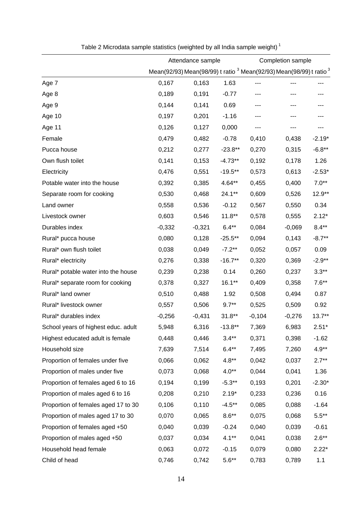|                                     |          | Attendance sample |           | Completion sample                                                                         |          |           |  |
|-------------------------------------|----------|-------------------|-----------|-------------------------------------------------------------------------------------------|----------|-----------|--|
|                                     |          |                   |           | Mean(92/93) Mean(98/99) t ratio <sup>3</sup> Mean(92/93) Mean(98/99) t ratio <sup>3</sup> |          |           |  |
| Age 7                               | 0,167    | 0,163             | 1.63      |                                                                                           |          |           |  |
| Age 8                               | 0,189    | 0,191             | $-0.77$   |                                                                                           |          |           |  |
| Age 9                               | 0,144    | 0,141             | 0.69      | ---                                                                                       |          |           |  |
| Age 10                              | 0,197    | 0,201             | $-1.16$   |                                                                                           |          |           |  |
| Age 11                              | 0,126    | 0,127             | 0,000     |                                                                                           |          |           |  |
| Female                              | 0,479    | 0,482             | $-0.78$   | 0,410                                                                                     | 0,438    | $-2.19*$  |  |
| Pucca house                         | 0,212    | 0,277             | $-23.8**$ | 0,270                                                                                     | 0,315    | $-6.8**$  |  |
| Own flush toilet                    | 0,141    | 0,153             | $-4.73**$ | 0,192                                                                                     | 0,178    | 1.26      |  |
| Electricity                         | 0,476    | 0,551             | $-19.5**$ | 0,573                                                                                     | 0,613    | $-2.53*$  |  |
| Potable water into the house        | 0,392    | 0,385             | 4.64**    | 0,455                                                                                     | 0,400    | $7.0**$   |  |
| Separate room for cooking           | 0,530    | 0,468             | 24.1**    | 0,609                                                                                     | 0,526    | $12.9**$  |  |
| Land owner                          | 0,558    | 0,536             | $-0.12$   | 0,567                                                                                     | 0,550    | 0.34      |  |
| Livestock owner                     | 0,603    | 0,546             | $11.8***$ | 0,578                                                                                     | 0,555    | $2.12*$   |  |
| Durables index                      | $-0,332$ | $-0,321$          | $6.4**$   | 0,084                                                                                     | $-0,069$ | $8.4**$   |  |
| Rural* pucca house                  | 0,080    | 0,128             | $-25.5**$ | 0,094                                                                                     | 0,143    | $-8.7**$  |  |
| Rural* own flush toilet             | 0,038    | 0,049             | $-7.2**$  | 0,052                                                                                     | 0,057    | 0.09      |  |
| Rural* electricity                  | 0,276    | 0,338             | $-16.7**$ | 0,320                                                                                     | 0,369    | $-2.9**$  |  |
| Rural* potable water into the house | 0,239    | 0,238             | 0.14      | 0,260                                                                                     | 0,237    | $3.3**$   |  |
| Rural* separate room for cooking    | 0,378    | 0,327             | $16.1***$ | 0,409                                                                                     | 0,358    | $7.6**$   |  |
| Rural* land owner                   | 0,510    | 0,488             | 1.92      | 0,508                                                                                     | 0,494    | 0.87      |  |
| Rural* livestock owner              | 0,557    | 0,506             | $9.7**$   | 0,525                                                                                     | 0,509    | 0.92      |  |
| Rural* durables index               | $-0,256$ | $-0,431$          | $31.8**$  | $-0,104$                                                                                  | $-0,276$ | $13.7***$ |  |
| School years of highest educ. adult | 5,948    | 6,316             | $-13.8**$ | 7,369                                                                                     | 6,983    | $2.51*$   |  |
| Highest educated adult is female    | 0,448    | 0,446             | $3.4**$   | 0,371                                                                                     | 0,398    | $-1.62$   |  |
| Household size                      | 7,639    | 7,514             | $6.4**$   | 7,495                                                                                     | 7,260    | $4.9**$   |  |
| Proportion of females under five    | 0,066    | 0,062             | $4.8**$   | 0,042                                                                                     | 0,037    | $2.7**$   |  |
| Proportion of males under five      | 0,073    | 0,068             | $4.0**$   | 0,044                                                                                     | 0,041    | 1.36      |  |
| Proportion of females aged 6 to 16  | 0,194    | 0,199             | $-5.3**$  | 0,193                                                                                     | 0,201    | $-2.30*$  |  |
| Proportion of males aged 6 to 16    | 0,208    | 0,210             | $2.19*$   | 0,233                                                                                     | 0,236    | 0.16      |  |
| Proportion of females aged 17 to 30 | 0,106    | 0,110             | $-4.5**$  | 0,085                                                                                     | 0,088    | $-1.64$   |  |
| Proportion of males aged 17 to 30   | 0,070    | 0,065             | $8.6**$   | 0,075                                                                                     | 0,068    | $5.5**$   |  |
| Proportion of females aged +50      | 0,040    | 0,039             | $-0.24$   | 0,040                                                                                     | 0,039    | $-0.61$   |  |
| Proportion of males aged +50        | 0,037    | 0,034             | $4.1**$   | 0,041                                                                                     | 0,038    | $2.6**$   |  |
| Household head female               | 0,063    | 0,072             | $-0.15$   | 0,079                                                                                     | 0,080    | $2.22*$   |  |
| Child of head                       | 0,746    | 0,742             | $5.6**$   | 0,783                                                                                     | 0,789    | $1.1$     |  |

| Table 2 Microdata sample statistics (weighted by all India sample weight) $^{\shortparallel}$ |  |  |  |
|-----------------------------------------------------------------------------------------------|--|--|--|
|                                                                                               |  |  |  |
|                                                                                               |  |  |  |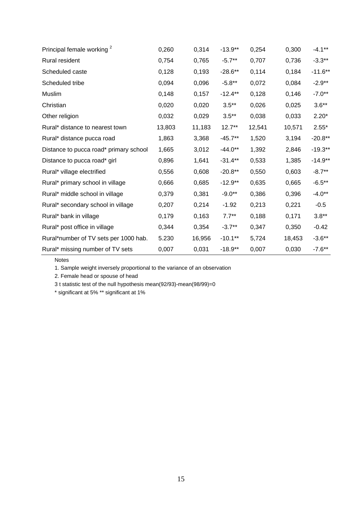| Principal female working <sup>2</sup>  | 0,260  | 0,314  | $-13.9**$ | 0,254  | 0,300  | $-4.1***$ |
|----------------------------------------|--------|--------|-----------|--------|--------|-----------|
| Rural resident                         | 0,754  | 0,765  | $-5.7**$  | 0,707  | 0,736  | $-3.3**$  |
| Scheduled caste                        | 0,128  | 0,193  | $-28.6**$ | 0,114  | 0,184  | $-11.6**$ |
| Scheduled tribe                        | 0,094  | 0,096  | $-5.8**$  | 0,072  | 0,084  | $-2.9**$  |
| Muslim                                 | 0,148  | 0,157  | $-12.4**$ | 0,128  | 0.146  | $-7.0**$  |
| Christian                              | 0,020  | 0,020  | $3.5**$   | 0,026  | 0,025  | $3.6**$   |
| Other religion                         | 0,032  | 0,029  | $3.5**$   | 0,038  | 0,033  | $2.20*$   |
| Rural* distance to nearest town        | 13,803 | 11,183 | $12.7**$  | 12,541 | 10,571 | $2.55*$   |
| Rural* distance pucca road             | 1,863  | 3,368  | $-45.7**$ | 1,520  | 3,194  | $-20.8**$ |
| Distance to pucca road* primary school | 1,665  | 3,012  | $-44.0**$ | 1,392  | 2,846  | $-19.3**$ |
| Distance to pucca road* girl           | 0,896  | 1,641  | $-31.4**$ | 0,533  | 1,385  | $-14.9**$ |
| Rural* village electrified             | 0,556  | 0,608  | $-20.8**$ | 0,550  | 0,603  | $-8.7**$  |
| Rural* primary school in village       | 0,666  | 0,685  | $-12.9**$ | 0,635  | 0,665  | $-6.5***$ |
| Rural* middle school in village        | 0,379  | 0,381  | $-9.0**$  | 0,386  | 0,396  | $-4.0**$  |
| Rural* secondary school in village     | 0,207  | 0,214  | $-1.92$   | 0,213  | 0,221  | $-0.5$    |
| Rural* bank in village                 | 0,179  | 0,163  | $7.7**$   | 0,188  | 0,171  | $3.8**$   |
| Rural* post office in village          | 0,344  | 0,354  | $-3.7**$  | 0,347  | 0,350  | $-0.42$   |
| Rural*number of TV sets per 1000 hab.  | 5.230  | 16,956 | $-10.1**$ | 5,724  | 18,453 | $-3.6**$  |
| Rural* missing number of TV sets       | 0,007  | 0,031  | $-18.9**$ | 0,007  | 0,030  | $-7.6***$ |

Notes

1. Sample weight inversely proportional to the variance of an observation

2. Female head or spouse of head

3 t statistic test of the null hypothesis mean(92/93)-mean(98/99)=0

\* significant at 5% \*\* significant at 1%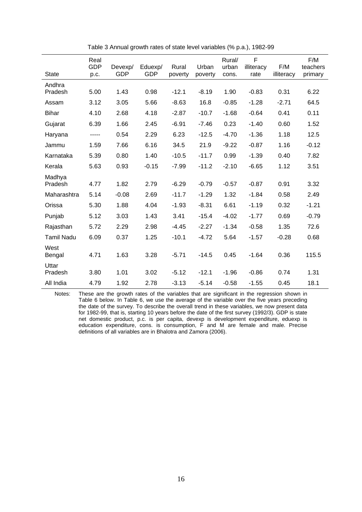| <b>State</b>      | Real<br><b>GDP</b><br>p.c. | Devexp/<br><b>GDP</b> | Eduexp/<br><b>GDP</b> | Rural<br>poverty | Urban<br>poverty | Rural/<br>urban<br>cons. | F<br>illiteracy<br>rate | F/M<br>illiteracy | F/M<br>teachers<br>primary |
|-------------------|----------------------------|-----------------------|-----------------------|------------------|------------------|--------------------------|-------------------------|-------------------|----------------------------|
| Andhra            |                            |                       |                       |                  |                  |                          |                         |                   |                            |
| Pradesh           | 5.00                       | 1.43                  | 0.98                  | $-12.1$          | $-8.19$          | 1.90                     | $-0.83$                 | 0.31              | 6.22                       |
| Assam             | 3.12                       | 3.05                  | 5.66                  | $-8.63$          | 16.8             | $-0.85$                  | $-1.28$                 | $-2.71$           | 64.5                       |
| <b>Bihar</b>      | 4.10                       | 2.68                  | 4.18                  | $-2.87$          | $-10.7$          | $-1.68$                  | $-0.64$                 | 0.41              | 0.11                       |
| Gujarat           | 6.39                       | 1.66                  | 2.45                  | $-6.91$          | $-7.46$          | 0.23                     | $-1.40$                 | 0.60              | 1.52                       |
| Haryana           | -----                      | 0.54                  | 2.29                  | 6.23             | $-12.5$          | $-4.70$                  | $-1.36$                 | 1.18              | 12.5                       |
| Jammu             | 1.59                       | 7.66                  | 6.16                  | 34.5             | 21.9             | $-9.22$                  | $-0.87$                 | 1.16              | $-0.12$                    |
| Karnataka         | 5.39                       | 0.80                  | 1.40                  | $-10.5$          | $-11.7$          | 0.99                     | $-1.39$                 | 0.40              | 7.82                       |
| Kerala            | 5.63                       | 0.93                  | $-0.15$               | $-7.99$          | $-11.2$          | $-2.10$                  | $-6.65$                 | 1.12              | 3.51                       |
| Madhya            |                            |                       |                       |                  |                  |                          |                         |                   |                            |
| Pradesh           | 4.77                       | 1.82                  | 2.79                  | $-6.29$          | $-0.79$          | $-0.57$                  | $-0.87$                 | 0.91              | 3.32                       |
| Maharashtra       | 5.14                       | $-0.08$               | 2.69                  | $-11.7$          | $-1.29$          | 1.32                     | $-1.84$                 | 0.58              | 2.49                       |
| Orissa            | 5.30                       | 1.88                  | 4.04                  | $-1.93$          | $-8.31$          | 6.61                     | $-1.19$                 | 0.32              | $-1.21$                    |
| Punjab            | 5.12                       | 3.03                  | 1.43                  | 3.41             | $-15.4$          | $-4.02$                  | $-1.77$                 | 0.69              | $-0.79$                    |
| Rajasthan         | 5.72                       | 2.29                  | 2.98                  | $-4.45$          | $-2.27$          | $-1.34$                  | $-0.58$                 | 1.35              | 72.6                       |
| <b>Tamil Nadu</b> | 6.09                       | 0.37                  | 1.25                  | $-10.1$          | $-4.72$          | 5.64                     | $-1.57$                 | $-0.28$           | 0.68                       |
| West<br>Bengal    | 4.71                       | 1.63                  | 3.28                  | $-5.71$          | $-14.5$          | 0.45                     | $-1.64$                 | 0.36              | 115.5                      |
| Uttar<br>Pradesh  | 3.80                       | 1.01                  | 3.02                  | $-5.12$          | $-12.1$          | $-1.96$                  | $-0.86$                 | 0.74              | 1.31                       |
| All India         | 4.79                       | 1.92                  | 2.78                  | $-3.13$          | $-5.14$          | $-0.58$                  | $-1.55$                 | 0.45              | 18.1                       |

Table 3 Annual growth rates of state level variables (% p.a.), 1982-99

Notes: These are the growth rates of the variables that are significant in the regression shown in Table 6 below. In Table 6, we use the average of the variable over the five years preceding the date of the survey. To describe the overall trend in these variables, we now present data for 1982-99, that is, starting 10 years before the date of the first survey (1992/3). GDP is state net domestic product, p.c. is per capita, devexp is development expenditure, eduexp is education expenditure, cons. is consumption, F and M are female and male. Precise definitions of all variables are in Bhalotra and Zamora (2006).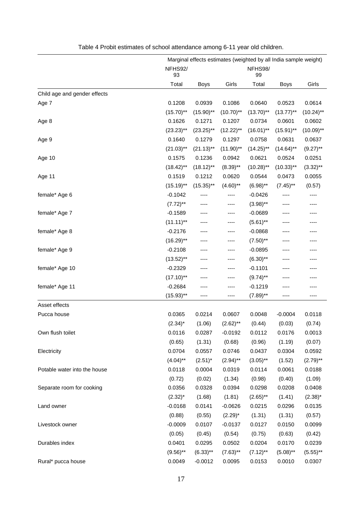|                              | Marginal effects estimates (weighted by all India sample weight) |              |              |               |              |              |
|------------------------------|------------------------------------------------------------------|--------------|--------------|---------------|--------------|--------------|
|                              | NFHS92/<br>93                                                    |              |              | NFHS98/<br>99 |              |              |
|                              | Total                                                            | <b>Boys</b>  | Girls        | Total         | <b>Boys</b>  | Girls        |
| Child age and gender effects |                                                                  |              |              |               |              |              |
| Age 7                        | 0.1208                                                           | 0.0939       | 0.1086       | 0.0640        | 0.0523       | 0.0614       |
|                              | $(15.70)$ **                                                     | $(15.90)$ ** | $(10.70)$ ** | $(13.70)$ **  | $(13.77)$ ** | $(10.24)$ ** |
| Age 8                        | 0.1626                                                           | 0.1271       | 0.1207       | 0.0734        | 0.0601       | 0.0602       |
|                              | $(23.23)$ **                                                     | $(23.25)$ ** | $(12.22)$ ** | $(16.01)$ **  | $(15.91)$ ** | $(10.09)$ ** |
| Age 9                        | 0.1640                                                           | 0.1279       | 0.1297       | 0.0758        | 0.0631       | 0.0637       |
|                              | $(21.03)$ **                                                     | $(21.13)$ ** | $(11.90)$ ** | $(14.25)$ **  | $(14.64)$ ** | $(9.27)$ **  |
| Age 10                       | 0.1575                                                           | 0.1236       | 0.0942       | 0.0621        | 0.0524       | 0.0251       |
|                              | $(18.42)$ **                                                     | $(18.12)$ ** | $(8.39)$ **  | $(10.28)$ **  | $(10.33)$ ** | $(3.32)$ **  |
| Age 11                       | 0.1519                                                           | 0.1212       | 0.0620       | 0.0544        | 0.0473       | 0.0055       |
|                              | $(15.19)$ **                                                     | $(15.35)$ ** | $(4.60)$ **  | $(6.98)$ **   | $(7.45)$ **  | (0.57)       |
| female* Age 6                | $-0.1042$                                                        | ----         | ----         | $-0.0426$     | ----         | ----         |
|                              | $(7.72)$ **                                                      | ----         | ----         | $(3.98)$ **   | ----         | ----         |
| female* Age 7                | $-0.1589$                                                        | ----         | ----         | $-0.0689$     | ----         | ----         |
|                              | $(11.11)$ **                                                     | ----         | ----         | $(5.61)$ **   | ----         | ----         |
| female* Age 8                | $-0.2176$                                                        | ----         | ----         | $-0.0868$     | ----         | ----         |
|                              | $(16.29)$ **                                                     | ----         | ----         | $(7.50)$ **   | ----         | ----         |
| female* Age 9                | $-0.2108$                                                        | ----         | ----         | $-0.0895$     | ----         | ----         |
|                              | $(13.52)$ **                                                     | ----         | ----         | $(6.30)$ **   | ----         |              |
| female* Age 10               | $-0.2329$                                                        | ----         | ----         | $-0.1101$     | ----         | ----         |
|                              | $(17.10)$ **                                                     | ----         | ----         | $(9.74)$ **   | ----         |              |
| female* Age 11               | $-0.2684$                                                        |              | ----         | $-0.1219$     |              |              |
|                              | $(15.93)$ **                                                     | ----         | ----         | $(7.89)$ **   | ----         | ----         |
| Asset effects                |                                                                  |              |              |               |              |              |
| Pucca house                  | 0.0365                                                           | 0.0214       | 0.0607       | 0.0048        | $-0.0004$    | 0.0118       |
|                              | $(2.34)^*$                                                       | (1.06)       | $(2.62)$ **  | (0.44)        | (0.03)       | (0.74)       |
| Own flush toilet             | 0.0116                                                           | 0.0287       | $-0.0192$    | 0.0112        | 0.0176       | 0.0013       |
|                              | (0.65)                                                           | (1.31)       | (0.68)       | (0.96)        | (1.19)       | (0.07)       |
| Electricity                  | 0.0704                                                           | 0.0557       | 0.0746       | 0.0437        | 0.0304       | 0.0592       |
|                              | $(4.04)$ **                                                      | $(2.51)^*$   | $(2.94)$ **  | $(3.05)$ **   | (1.52)       | $(2.79)$ **  |
| Potable water into the house | 0.0118                                                           | 0.0004       | 0.0319       | 0.0114        | 0.0061       | 0.0188       |
|                              | (0.72)                                                           | (0.02)       | (1.34)       | (0.98)        | (0.40)       | (1.09)       |
| Separate room for cooking    | 0.0356                                                           | 0.0328       | 0.0394       | 0.0298        | 0.0208       | 0.0408       |
|                              | $(2.32)^{*}$                                                     | (1.68)       | (1.81)       | $(2.65)$ **   | (1.41)       | $(2.38)^{*}$ |
| Land owner                   | $-0.0168$                                                        | 0.0141       | $-0.0626$    | 0.0215        | 0.0296       | 0.0135       |
|                              | (0.88)                                                           | (0.55)       | $(2.29)^*$   | (1.31)        | (1.31)       | (0.57)       |
| Livestock owner              | $-0.0009$                                                        | 0.0107       | $-0.0137$    | 0.0127        | 0.0150       | 0.0099       |
|                              | (0.05)                                                           | (0.45)       | (0.54)       | (0.75)        | (0.63)       | (0.42)       |
| Durables index               | 0.0401                                                           | 0.0295       | 0.0502       | 0.0204        | 0.0170       | 0.0239       |
|                              | $(9.56)$ **                                                      | $(6.33)$ **  | $(7.63)$ **  | $(7.12)$ **   | $(5.08)$ **  | $(5.55)$ **  |
| Rural* pucca house           | 0.0049                                                           | $-0.0012$    | 0.0095       | 0.0153        | 0.0010       | 0.0307       |

Table 4 Probit estimates of school attendance among 6-11 year old children.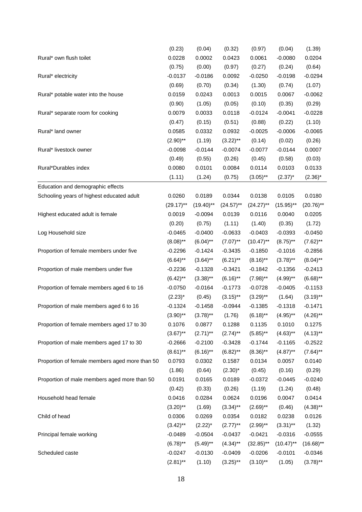|                                                | (0.23)       | (0.04)       | (0.32)       | (0.97)       | (0.04)       | (1.39)       |
|------------------------------------------------|--------------|--------------|--------------|--------------|--------------|--------------|
| Rural* own flush toilet                        | 0.0228       | 0.0002       | 0.0423       | 0.0061       | $-0.0080$    | 0.0204       |
|                                                | (0.75)       | (0.00)       | (0.97)       | (0.27)       | (0.24)       | (0.64)       |
| Rural* electricity                             | $-0.0137$    | $-0.0186$    | 0.0092       | $-0.0250$    | $-0.0198$    | $-0.0294$    |
|                                                | (0.69)       | (0.70)       | (0.34)       | (1.30)       | (0.74)       | (1.07)       |
| Rural* potable water into the house            | 0.0159       | 0.0243       | 0.0013       | 0.0015       | 0.0067       | $-0.0062$    |
|                                                | (0.90)       | (1.05)       | (0.05)       | (0.10)       | (0.35)       | (0.29)       |
| Rural* separate room for cooking               | 0.0079       | 0.0033       | 0.0118       | $-0.0124$    | $-0.0041$    | $-0.0228$    |
|                                                | (0.47)       | (0.15)       | (0.51)       | (0.88)       | (0.22)       | (1.10)       |
| Rural* land owner                              | 0.0585       | 0.0332       | 0.0932       | $-0.0025$    | $-0.0006$    | $-0.0065$    |
|                                                | $(2.90)$ **  | (1.19)       | $(3.22)$ **  | (0.14)       | (0.02)       | (0.26)       |
| Rural* livestock owner                         | $-0.0098$    | $-0.0144$    | $-0.0074$    | $-0.0077$    | $-0.0144$    | 0.0007       |
|                                                | (0.49)       | (0.55)       | (0.26)       | (0.45)       | (0.58)       | (0.03)       |
| Rural*Durables index                           | 0.0080       | 0.0101       | 0.0084       | 0.0114       | 0.0103       | 0.0133       |
|                                                | (1.11)       | (1.24)       | (0.75)       | $(3.05)$ **  | $(2.37)^*$   | $(2.36)^*$   |
| Education and demographic effects              |              |              |              |              |              |              |
| Schooling years of highest educated adult      | 0.0260       | 0.0189       | 0.0344       | 0.0138       | 0.0105       | 0.0180       |
|                                                | $(29.17)$ ** | $(19.40)$ ** | $(24.57)$ ** | $(24.27)$ ** | $(15.95)$ ** | $(20.76)$ ** |
| Highest educated adult is female               | 0.0019       | $-0.0094$    | 0.0139       | 0.0116       | 0.0040       | 0.0205       |
|                                                | (0.20)       | (0.75)       | (1.11)       | (1.40)       | (0.35)       | (1.72)       |
| Log Household size                             | $-0.0465$    | $-0.0400$    | $-0.0633$    | $-0.0403$    | $-0.0393$    | $-0.0450$    |
|                                                | $(8.08)$ **  | $(6.04)$ **  | $(7.07)$ **  | $(10.47)$ ** | $(8.75)$ **  | $(7.62)$ **  |
| Proportion of female members under five        | $-0.2296$    | $-0.1424$    | $-0.3435$    | $-0.1850$    | $-0.1016$    | $-0.2856$    |
|                                                | $(6.64)$ **  | $(3.64)$ **  | $(6.21)$ **  | $(8.16)$ **  | $(3.78)$ **  | $(8.04)$ **  |
| Proportion of male members under five          | $-0.2236$    | $-0.1328$    | $-0.3421$    | $-0.1842$    | $-0.1356$    | $-0.2413$    |
|                                                | $(6.42)$ **  | $(3.38)$ **  | $(6.16)$ **  | $(7.98)$ **  | $(4.99)$ **  | $(6.68)$ **  |
| Proportion of female members aged 6 to 16      | $-0.0750$    | $-0.0164$    | $-0.1773$    | $-0.0728$    | $-0.0405$    | $-0.1153$    |
|                                                | $(2.23)^*$   | (0.45)       | $(3.15)$ **  | $(3.29)$ **  | (1.64)       | $(3.19)$ **  |
| Proportion of male members aged 6 to 16        | $-0.1324$    | $-0.1458$    | $-0.0944$    | $-0.1385$    | $-0.1318$    | $-0.1471$    |
|                                                | $(3.90)$ **  | $(3.78)$ **  | (1.76)       | $(6.18)$ **  | $(4.95)$ **  | $(4.26)$ **  |
| Proportion of female members aged 17 to 30     | 0.1076       | 0.0877       | 0.1288       | 0.1135       | 0.1010       | 0.1275       |
|                                                | $(3.67)$ **  | $(2.71)$ **  | $(2.74)$ **  | $(5.85)$ **  | $(4.63)$ **  | $(4.13)$ **  |
| Proportion of male members aged 17 to 30       | $-0.2666$    | $-0.2100$    | $-0.3428$    | $-0.1744$    | $-0.1165$    | $-0.2522$    |
|                                                | $(8.61)$ **  | $(6.16)$ **  | $(6.82)$ **  | $(8.36)$ **  | $(4.87)$ **  | $(7.64)$ **  |
| Proportion of female members aged more than 50 | 0.0793       | 0.0302       | 0.1587       | 0.0134       | 0.0057       | 0.0140       |
|                                                | (1.86)       | (0.64)       | $(2.30)^*$   | (0.45)       | (0.16)       | (0.29)       |
| Proportion of male members aged more than 50   | 0.0191       | 0.0165       | 0.0189       | $-0.0372$    | $-0.0445$    | $-0.0240$    |
|                                                | (0.42)       | (0.33)       | (0.26)       | (1.19)       | (1.24)       | (0.48)       |
| Household head female                          | 0.0416       | 0.0284       | 0.0624       | 0.0196       | 0.0047       | 0.0414       |
|                                                | $(3.20)$ **  | (1.69)       | $(3.34)$ **  | $(2.69)$ **  | (0.46)       | $(4.38)$ **  |
| Child of head                                  | 0.0306       | 0.0269       | 0.0354       | 0.0182       | 0.0238       | 0.0126       |
|                                                | $(3.42)$ **  | $(2.22)^*$   | $(2.77)$ **  | $(2.99)$ **  | $(3.31)$ **  | (1.32)       |
| Principal female working                       | $-0.0489$    | $-0.0504$    | $-0.0437$    | $-0.0421$    | $-0.0316$    | $-0.0555$    |
|                                                | $(6.78)$ **  | $(5.49)$ **  | $(4.34)$ **  | $(32.85)$ ** | $(10.47)$ ** | $(16.68)$ ** |
| Scheduled caste                                | $-0.0247$    | $-0.0130$    | $-0.0409$    | $-0.0206$    | $-0.0101$    | $-0.0346$    |
|                                                | $(2.81)$ **  | (1.10)       | $(3.25)$ **  | $(3.10)$ **  | (1.05)       | $(3.78)$ **  |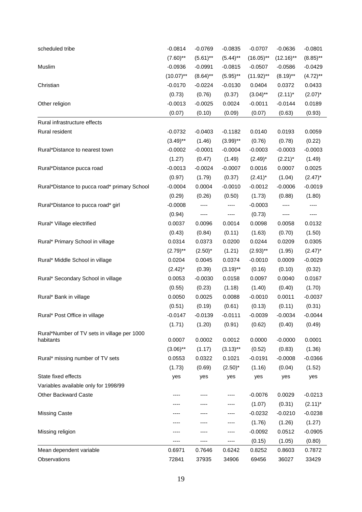| scheduled tribe                              | $-0.0814$    | $-0.0769$              | $-0.0835$   | $-0.0707$    | $-0.0636$    | $-0.0801$   |
|----------------------------------------------|--------------|------------------------|-------------|--------------|--------------|-------------|
|                                              | $(7.60)$ **  | $(5.61)$ **            | $(5.44)$ ** | $(16.05)$ ** | $(12.16)$ ** | $(8.85)$ ** |
| Muslim                                       | $-0.0936$    | $-0.0991$              | $-0.0815$   | $-0.0507$    | $-0.0586$    | $-0.0429$   |
|                                              | $(10.07)$ ** | $(8.64)$ **            | $(5.95)$ ** | $(11.92)$ ** | $(8.19)$ **  | $(4.72)$ ** |
| Christian                                    | $-0.0170$    | $-0.0224$              | $-0.0130$   | 0.0404       | 0.0372       | 0.0433      |
|                                              | (0.73)       | (0.76)                 | (0.37)      | $(3.04)$ **  | $(2.11)^*$   | $(2.07)^*$  |
| Other religion                               | $-0.0013$    | $-0.0025$              | 0.0024      | $-0.0011$    | $-0.0144$    | 0.0189      |
|                                              | (0.07)       | (0.10)                 | (0.09)      | (0.07)       | (0.63)       | (0.93)      |
| Rural infrastructure effects                 |              |                        |             |              |              |             |
| Rural resident                               | $-0.0732$    | $-0.0403$              | $-0.1182$   | 0.0140       | 0.0193       | 0.0059      |
|                                              | $(3.49)$ **  | (1.46)                 | $(3.99)$ ** | (0.76)       | (0.78)       | (0.22)      |
| Rural*Distance to nearest town               | $-0.0002$    | $-0.0001$              | $-0.0004$   | $-0.0003$    | $-0.0003$    | $-0.0003$   |
|                                              | (1.27)       | (0.47)                 | (1.49)      | $(2.49)^*$   | $(2.21)^*$   | (1.49)      |
| Rural*Distance pucca road                    | $-0.0013$    | $-0.0024$              | $-0.0007$   | 0.0016       | 0.0007       | 0.0025      |
|                                              | (0.97)       | (1.79)                 | (0.37)      | $(2.41)^*$   | (1.04)       | $(2.47)^*$  |
| Rural*Distance to pucca road* primary School | $-0.0004$    | 0.0004                 | $-0.0010$   | $-0.0012$    | $-0.0006$    | $-0.0019$   |
|                                              | (0.29)       | (0.26)                 | (0.50)      | (1.73)       | (0.88)       | (1.80)      |
| Rural*Distance to pucca road* girl           | $-0.0008$    |                        | ----        | $-0.0003$    |              | ----        |
|                                              | (0.94)       | $\qquad \qquad \cdots$ | $\cdots$    | (0.73)       | ----         | $\cdots$    |
| Rural* Village electrified                   | 0.0037       | 0.0096                 | 0.0014      | 0.0098       | 0.0058       | 0.0132      |
|                                              | (0.43)       | (0.84)                 | (0.11)      | (1.63)       | (0.70)       | (1.50)      |
| Rural* Primary School in village             | 0.0314       | 0.0373                 | 0.0200      | 0.0244       | 0.0209       | 0.0305      |
|                                              | $(2.79)$ **  | $(2.50)^*$             | (1.21)      | $(2.93)$ **  | (1.95)       | $(2.47)^*$  |
| Rural* Middle School in village              | 0.0204       | 0.0045                 | 0.0374      | $-0.0010$    | 0.0009       | $-0.0029$   |
|                                              | $(2.42)^*$   | (0.39)                 | $(3.19)$ ** | (0.16)       | (0.10)       | (0.32)      |
| Rural* Secondary School in village           | 0.0053       | $-0.0030$              | 0.0158      | 0.0097       | 0.0040       | 0.0167      |
|                                              | (0.55)       | (0.23)                 | (1.18)      | (1.40)       | (0.40)       | (1.70)      |
| Rural* Bank in village                       | 0.0050       | 0.0025                 | 0.0088      | $-0.0010$    | 0.0011       | $-0.0037$   |
|                                              | (0.51)       | (0.19)                 | (0.61)      | (0.13)       | (0.11)       | (0.31)      |
| Rural* Post Office in village                | -0.0147      | $-0.0139$              | $-0.0111$   | $-0.0039$    | $-0.0034$    | $-0.0044$   |
|                                              | (1.71)       | (1.20)                 | (0.91)      | (0.62)       | (0.40)       | (0.49)      |
| Rural*Number of TV sets in village per 1000  |              |                        |             |              |              |             |
| habitants                                    | 0.0007       | 0.0002                 | 0.0012      | 0.0000       | $-0.0000$    | 0.0001      |
|                                              | $(3.06)$ **  | (1.17)                 | $(3.13)$ ** | (0.52)       | (0.83)       | (1.36)      |
| Rural* missing number of TV sets             | 0.0553       | 0.0322                 | 0.1021      | $-0.0191$    | $-0.0008$    | $-0.0366$   |
|                                              | (1.73)       | (0.69)                 | $(2.50)^*$  | (1.16)       | (0.04)       | (1.52)      |
| State fixed effects                          | yes          | yes                    | yes         | yes          | yes          | yes         |
| Variables available only for 1998/99         |              |                        |             |              |              |             |
| <b>Other Backward Caste</b>                  |              |                        | ----        | $-0.0076$    | 0.0029       | $-0.0213$   |
|                                              |              |                        |             | (1.07)       | (0.31)       | $(2.11)^*$  |
| <b>Missing Caste</b>                         |              |                        | ----        | $-0.0232$    | $-0.0210$    | $-0.0238$   |
|                                              |              |                        | ----        | (1.76)       | (1.26)       | (1.27)      |
| Missing religion                             |              |                        |             | $-0.0092$    | 0.0512       | $-0.0905$   |
|                                              |              |                        | ----        | (0.15)       | (1.05)       | (0.80)      |
| Mean dependent variable                      | 0.6971       | 0.7646                 | 0.6242      | 0.8252       | 0.8603       | 0.7872      |
| Observations                                 | 72841        | 37935                  | 34906       | 69456        | 36027        | 33429       |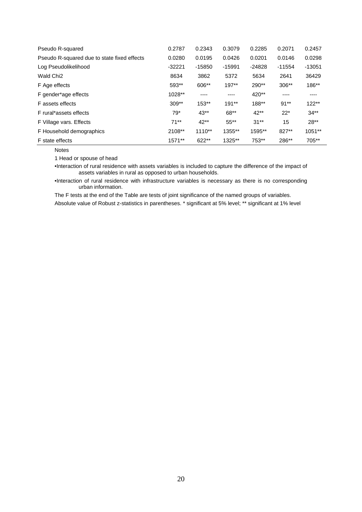| Pseudo R-squared                            | 0.2787   | 0.2343   | 0.3079   | 0.2285   | 0.2071   | 0.2457   |
|---------------------------------------------|----------|----------|----------|----------|----------|----------|
| Pseudo R-squared due to state fixed effects | 0.0280   | 0.0195   | 0.0426   | 0.0201   | 0.0146   | 0.0298   |
| Log Pseudolikelihood                        | $-32221$ | $-15850$ | $-15991$ | $-24828$ | $-11554$ | $-13051$ |
| Wald Chi <sub>2</sub>                       | 8634     | 3862     | 5372     | 5634     | 2641     | 36429    |
| F Age effects                               | $593**$  | 606**    | $197**$  | 290**    | $306**$  | 186**    |
| F gender*age effects                        | 1028**   | $---$    | ----     | 420**    | ----     | ----     |
| F assets effects                            | $309**$  | $153**$  | $191**$  | $188**$  | $91**$   | $122**$  |
| F rural*assets effects                      | $79*$    | $43**$   | 68**     | $42**$   | $22*$    | $34**$   |
| F Village vars. Effects                     | $71**$   | $42**$   | $55***$  | $31**$   | 15       | $28**$   |
| F Household demographics                    | 2108**   | $1110**$ | 1355**   | 1595**   | 827**    | $1051**$ |
| F state effects                             | 1571**   | 622**    | 1325**   | 753**    | 286**    | 705**    |

Notes

1 Head or spouse of head

•Interaction of rural residence with assets variables is included to capture the difference of the impact of assets variables in rural as opposed to urban households.

•Interaction of rural residence with infrastructure variables is necessary as there is no corresponding urban information.

The F tests at the end of the Table are tests of joint significance of the named groups of variables. Absolute value of Robust z-statistics in parentheses. \* significant at 5% level; \*\* significant at 1% level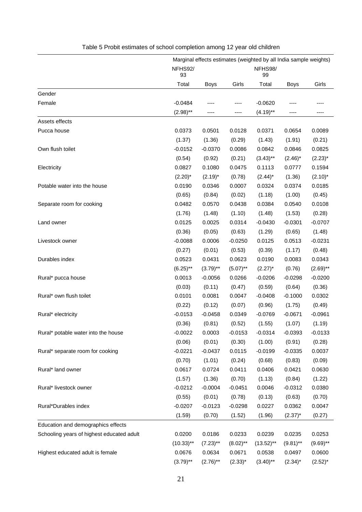|                                           |               | Marginal effects estimates (weighted by all India sample weights) |              |               |             |             |
|-------------------------------------------|---------------|-------------------------------------------------------------------|--------------|---------------|-------------|-------------|
|                                           | NFHS92/<br>93 |                                                                   |              | NFHS98/<br>99 |             |             |
|                                           | Total         | <b>Boys</b>                                                       | Girls        | Total         | <b>Boys</b> | Girls       |
| Gender                                    |               |                                                                   |              |               |             |             |
| Female                                    | $-0.0484$     |                                                                   |              | $-0.0620$     |             |             |
|                                           | $(2.98)$ **   |                                                                   | ----         | $(4.19)$ **   |             | ----        |
| Assets effects                            |               |                                                                   |              |               |             |             |
| Pucca house                               | 0.0373        | 0.0501                                                            | 0.0128       | 0.0371        | 0.0654      | 0.0089      |
|                                           | (1.37)        | (1.36)                                                            | (0.29)       | (1.43)        | (1.91)      | (0.21)      |
| Own flush toilet                          | $-0.0152$     | $-0.0370$                                                         | 0.0086       | 0.0842        | 0.0846      | 0.0825      |
|                                           | (0.54)        | (0.92)                                                            | (0.21)       | $(3.43)$ **   | $(2.46)^*$  | $(2.23)^*$  |
| Electricity                               | 0.0827        | 0.1080                                                            | 0.0475       | 0.1113        | 0.0777      | 0.1594      |
|                                           | $(2.20)^*$    | $(2.19)^*$                                                        | (0.78)       | $(2.44)^*$    | (1.36)      | $(2.10)^*$  |
| Potable water into the house              | 0.0190        | 0.0346                                                            | 0.0007       | 0.0324        | 0.0374      | 0.0185      |
|                                           | (0.65)        | (0.84)                                                            | (0.02)       | (1.18)        | (1.00)      | (0.45)      |
| Separate room for cooking                 | 0.0482        | 0.0570                                                            | 0.0438       | 0.0384        | 0.0540      | 0.0108      |
|                                           | (1.76)        | (1.48)                                                            | (1.10)       | (1.48)        | (1.53)      | (0.28)      |
| Land owner                                | 0.0125        | 0.0025                                                            | 0.0314       | $-0.0430$     | $-0.0301$   | $-0.0707$   |
|                                           | (0.36)        | (0.05)                                                            | (0.63)       | (1.29)        | (0.65)      | (1.48)      |
| Livestock owner                           | $-0.0088$     | 0.0006                                                            | $-0.0250$    | 0.0125        | 0.0513      | $-0.0231$   |
|                                           | (0.27)        | (0.01)                                                            | (0.53)       | (0.39)        | (1.17)      | (0.48)      |
| Durables index                            | 0.0523        | 0.0431                                                            | 0.0623       | 0.0190        | 0.0083      | 0.0343      |
|                                           | $(6.25)$ **   | $(3.79)$ **                                                       | $(5.07)$ **  | $(2.27)^*$    | (0.76)      | $(2.69)$ ** |
| Rural* pucca house                        | 0.0013        | $-0.0056$                                                         | 0.0266       | $-0.0206$     | $-0.0298$   | $-0.0200$   |
|                                           | (0.03)        | (0.11)                                                            | (0.47)       | (0.59)        | (0.64)      | (0.36)      |
| Rural* own flush toilet                   | 0.0101        | 0.0081                                                            | 0.0047       | $-0.0408$     | $-0.1000$   | 0.0302      |
|                                           | (0.22)        | (0.12)                                                            | (0.07)       | (0.96)        | (1.75)      | (0.49)      |
| Rural* electricity                        | $-0.0153$     | $-0.0458$                                                         | 0.0349       | $-0.0769$     | $-0.0671$   | $-0.0961$   |
|                                           | (0.36)        | (0.81)                                                            | (0.52)       | (1.55)        | (1.07)      | (1.19)      |
| Rural* potable water into the house       | $-0.0022$     | 0.0003                                                            | $-0.0153$    | $-0.0314$     | $-0.0393$   | $-0.0133$   |
|                                           | (0.06)        | (0.01)                                                            | (0.30)       | (1.00)        | (0.91)      | (0.28)      |
| Rural* separate room for cooking          | $-0.0221$     | $-0.0437$                                                         | 0.0115       | $-0.0199$     | $-0.0335$   | 0.0037      |
|                                           | (0.70)        | (1.01)                                                            | (0.24)       | (0.68)        | (0.83)      | (0.09)      |
| Rural* land owner                         | 0.0617        | 0.0724                                                            | 0.0411       | 0.0406        | 0.0421      | 0.0630      |
|                                           | (1.57)        | (1.36)                                                            | (0.70)       | (1.13)        | (0.84)      | (1.22)      |
| Rural* livestock owner                    | $-0.0212$     | $-0.0004$                                                         | $-0.0451$    | 0.0046        | $-0.0312$   | 0.0380      |
|                                           | (0.55)        | (0.01)                                                            | (0.78)       | (0.13)        | (0.63)      | (0.70)      |
| Rural*Durables index                      | $-0.0207$     | $-0.0123$                                                         | $-0.0298$    | 0.0227        | 0.0362      | 0.0047      |
|                                           | (1.59)        | (0.70)                                                            | (1.52)       | (1.96)        | $(2.37)^*$  | (0.27)      |
| Education and demographics effects        |               |                                                                   |              |               |             |             |
| Schooling years of highest educated adult | 0.0200        | 0.0186                                                            | 0.0233       | 0.0239        | 0.0235      | 0.0253      |
|                                           | $(10.33)$ **  | $(7.23)$ **                                                       | $(8.02)$ **  | $(13.52)$ **  | $(9.81)$ ** | $(9.69)$ ** |
| Highest educated adult is female          | 0.0676        | 0.0634                                                            | 0.0671       | 0.0538        | 0.0497      | 0.0600      |
|                                           | $(3.79)$ **   | $(2.76)$ **                                                       | $(2.33)^{*}$ | $(3.40)$ **   | $(2.34)^*$  | $(2.52)^*$  |

# Table 5 Probit estimates of school completion among 12 year old children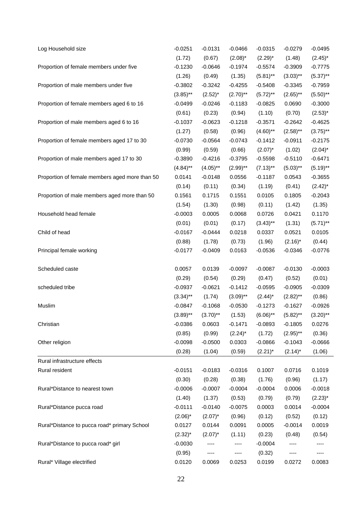| Log Household size                             | $-0.0251$    | $-0.0131$   | $-0.0466$   | $-0.0315$   | $-0.0279$   | $-0.0495$   |
|------------------------------------------------|--------------|-------------|-------------|-------------|-------------|-------------|
|                                                | (1.72)       | (0.67)      | $(2.08)^*$  | $(2.29)^*$  | (1.48)      | $(2.45)^*$  |
| Proportion of female members under five        | $-0.1230$    | $-0.0646$   | $-0.1974$   | $-0.5574$   | $-0.3909$   | $-0.7775$   |
|                                                | (1.26)       | (0.49)      | (1.35)      | $(5.81)$ ** | $(3.03)$ ** | $(5.37)$ ** |
| Proportion of male members under five          | $-0.3802$    | $-0.3242$   | $-0.4255$   | $-0.5408$   | $-0.3345$   | $-0.7959$   |
|                                                | $(3.85)$ **  | $(2.52)^*$  | $(2.70)$ ** | $(5.72)$ ** | $(2.65)$ ** | $(5.50)$ ** |
| Proportion of female members aged 6 to 16      | $-0.0499$    | $-0.0246$   | $-0.1183$   | $-0.0825$   | 0.0690      | $-0.3000$   |
|                                                | (0.61)       | (0.23)      | (0.94)      | (1.10)      | (0.70)      | $(2.53)^*$  |
| Proportion of male members aged 6 to 16        | $-0.1037$    | $-0.0623$   | $-0.1218$   | $-0.3571$   | $-0.2642$   | $-0.4625$   |
|                                                | (1.27)       | (0.58)      | (0.96)      | $(4.60)$ ** | $(2.58)$ ** | $(3.75)$ ** |
| Proportion of female members aged 17 to 30     | $-0.0730$    | $-0.0564$   | $-0.0743$   | $-0.1412$   | $-0.0911$   | $-0.2175$   |
|                                                | (0.99)       | (0.59)      | (0.66)      | $(2.07)^*$  | (1.02)      | $(2.04)^*$  |
| Proportion of male members aged 17 to 30       | $-0.3890$    | $-0.4216$   | $-0.3795$   | $-0.5598$   | $-0.5110$   | $-0.6471$   |
|                                                | $(4.84)$ **  | $(4.05)$ ** | $(2.99)$ ** | $(7.13)$ ** | $(5.03)$ ** | $(5.19)$ ** |
| Proportion of female members aged more than 50 | 0.0141       | $-0.0148$   | 0.0556      | $-0.1187$   | 0.0543      | $-0.3655$   |
|                                                | (0.14)       | (0.11)      | (0.34)      | (1.19)      | (0.41)      | $(2.42)^*$  |
| Proportion of male members aged more than 50   | 0.1561       | 0.1715      | 0.1551      | 0.0105      | 0.1805      | $-0.2043$   |
|                                                | (1.54)       | (1.30)      | (0.98)      | (0.11)      | (1.42)      | (1.35)      |
| Household head female                          | $-0.0003$    | 0.0005      | 0.0068      | 0.0726      | 0.0421      | 0.1170      |
|                                                | (0.01)       | (0.01)      | (0.17)      | $(3.43)$ ** | (1.31)      | $(5.71)$ ** |
| Child of head                                  | $-0.0167$    | $-0.0444$   | 0.0218      | 0.0337      | 0.0521      | 0.0105      |
|                                                | (0.88)       | (1.78)      | (0.73)      | (1.96)      | $(2.16)^*$  | (0.44)      |
| Principal female working                       | $-0.0177$    | $-0.0409$   | 0.0163      | $-0.0536$   | $-0.0346$   | $-0.0776$   |
| Scheduled caste                                | 0.0057       | 0.0139      | $-0.0097$   | $-0.0087$   | $-0.0130$   | $-0.0003$   |
|                                                | (0.29)       | (0.54)      | (0.29)      | (0.47)      | (0.52)      | (0.01)      |
| scheduled tribe                                | $-0.0937$    | $-0.0621$   | $-0.1412$   | $-0.0595$   | $-0.0905$   | $-0.0309$   |
|                                                | $(3.34)$ **  | (1.74)      | $(3.09)$ ** | $(2.44)^*$  | $(2.82)$ ** | (0.86)      |
| Muslim                                         | $-0.0847$    | $-0.1068$   | $-0.0530$   | $-0.1273$   | $-0.1627$   | $-0.0926$   |
|                                                | $(3.89)$ **  | $(3.70)$ ** | (1.53)      | $(6.06)$ ** | $(5.82)$ ** | $(3.20)$ ** |
| Christian                                      | $-0.0386$    | 0.0603      | $-0.1471$   | $-0.0893$   | $-0.1805$   | 0.0276      |
|                                                | (0.85)       | (0.99)      | $(2.24)^*$  | (1.72)      | $(2.95)$ ** | (0.36)      |
| Other religion                                 | $-0.0098$    | $-0.0500$   | 0.0303      | $-0.0866$   | $-0.1043$   | $-0.0666$   |
|                                                | (0.28)       | (1.04)      | (0.59)      | $(2.21)^*$  | $(2.14)^*$  | (1.06)      |
| Rural infrastructure effects                   |              |             |             |             |             |             |
| Rural resident                                 | $-0.0151$    | $-0.0183$   | $-0.0316$   | 0.1007      | 0.0716      | 0.1019      |
|                                                | (0.30)       | (0.28)      | (0.38)      | (1.76)      | (0.96)      | (1.17)      |
| Rural*Distance to nearest town                 | $-0.0006$    | $-0.0007$   | $-0.0004$   | $-0.0004$   | 0.0006      | $-0.0018$   |
|                                                | (1.40)       | (1.37)      | (0.53)      | (0.79)      | (0.79)      | $(2.23)^*$  |
| Rural*Distance pucca road                      | $-0.0111$    | $-0.0140$   | $-0.0075$   | 0.0003      | 0.0014      | $-0.0004$   |
|                                                | $(2.06)^*$   | $(2.07)^*$  | (0.96)      | (0.12)      | (0.52)      | (0.12)      |
| Rural*Distance to pucca road* primary School   | 0.0127       | 0.0144      | 0.0091      | 0.0005      | $-0.0014$   | 0.0019      |
|                                                | $(2.32)^{*}$ | $(2.07)^*$  | (1.11)      | (0.23)      | (0.48)      | (0.54)      |
| Rural*Distance to pucca road* girl             | $-0.0030$    | ----        | ----        | $-0.0004$   | ----        |             |
|                                                | (0.95)       | ----        | ----        | (0.32)      | ----        | ----        |
| Rural* Village electrified                     | 0.0120       | 0.0069      | 0.0253      | 0.0199      | 0.0272      | 0.0083      |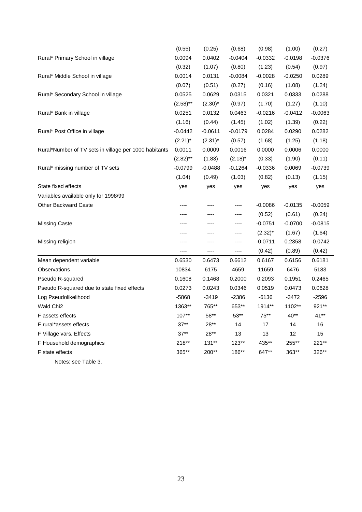|                                                       | (0.55)      | (0.25)     | (0.68)     | (0.98)       | (1.00)    | (0.27)    |
|-------------------------------------------------------|-------------|------------|------------|--------------|-----------|-----------|
| Rural* Primary School in village                      | 0.0094      | 0.0402     | $-0.0404$  | $-0.0332$    | $-0.0198$ | $-0.0376$ |
|                                                       | (0.32)      | (1.07)     | (0.80)     | (1.23)       | (0.54)    | (0.97)    |
| Rural* Middle School in village                       | 0.0014      | 0.0131     | $-0.0084$  | $-0.0028$    | $-0.0250$ | 0.0289    |
|                                                       | (0.07)      | (0.51)     | (0.27)     | (0.16)       | (1.08)    | (1.24)    |
| Rural* Secondary School in village                    | 0.0525      | 0.0629     | 0.0315     | 0.0321       | 0.0333    | 0.0288    |
|                                                       | $(2.58)$ ** | $(2.30)^*$ | (0.97)     | (1.70)       | (1.27)    | (1.10)    |
| Rural* Bank in village                                | 0.0251      | 0.0132     | 0.0463     | $-0.0216$    | $-0.0412$ | $-0.0063$ |
|                                                       | (1.16)      | (0.44)     | (1.45)     | (1.02)       | (1.39)    | (0.22)    |
| Rural* Post Office in village                         | $-0.0442$   | $-0.0611$  | $-0.0179$  | 0.0284       | 0.0290    | 0.0282    |
|                                                       | $(2.21)^*$  | $(2.31)^*$ | (0.57)     | (1.68)       | (1.25)    | (1.18)    |
| Rural*Number of TV sets in village per 1000 habitants | 0.0011      | 0.0009     | 0.0016     | 0.0000       | 0.0006    | 0.0000    |
|                                                       | $(2.82)$ ** | (1.83)     | $(2.18)^*$ | (0.33)       | (1.90)    | (0.11)    |
| Rural* missing number of TV sets                      | $-0.0799$   | $-0.0488$  | $-0.1264$  | -0.0336      | 0.0069    | $-0.0739$ |
|                                                       | (1.04)      | (0.49)     | (1.03)     | (0.82)       | (0.13)    | (1.15)    |
| State fixed effects                                   | yes         | yes        | yes        | yes          | yes       | yes       |
| Variables available only for 1998/99                  |             |            |            |              |           |           |
| <b>Other Backward Caste</b>                           |             | ----       | ----       | $-0.0086$    | $-0.0135$ | $-0.0059$ |
|                                                       | ----        | ----       | ----       | (0.52)       | (0.61)    | (0.24)    |
| Missing Caste                                         | ----        | ----       | ----       | $-0.0751$    | $-0.0700$ | $-0.0815$ |
|                                                       | ----        | ----       | ----       | $(2.32)^{*}$ | (1.67)    | (1.64)    |
| Missing religion                                      | ----        | ----       | ----       | $-0.0711$    | 0.2358    | $-0.0742$ |
|                                                       | ----        | ----       | ----       | (0.42)       | (0.89)    | (0.42)    |
| Mean dependent variable                               | 0.6530      | 0.6473     | 0.6612     | 0.6167       | 0.6156    | 0.6181    |
| Observations                                          | 10834       | 6175       | 4659       | 11659        | 6476      | 5183      |
| Pseudo R-squared                                      | 0.1608      | 0.1468     | 0.2000     | 0.2093       | 0.1951    | 0.2465    |
| Pseudo R-squared due to state fixed effects           | 0.0273      | 0.0243     | 0.0346     | 0.0519       | 0.0473    | 0.0628    |
| Log Pseudolikelihood                                  | -5868       | $-3419$    | $-2386$    | $-6136$      | $-3472$   | $-2596$   |
| Wald Chi2                                             | 1363**      | 765**      | 653**      | 1914**       | 1102**    | 921**     |
| F assets effects                                      | $107**$     | $58**$     | $53**$     | $75***$      | 40**      | $41**$    |
| F rural*assets effects                                | $37**$      | 28**       | 14         | 17           | 14        | 16        |
| F Village vars. Effects                               | $37**$      | $28**$     | 13         | 13           | 12        | 15        |
| F Household demographics                              | 218**       | 131**      | $123**$    | 435**        | 255**     | 221**     |
| F state effects                                       | 365**       | 200**      | 186**      | 647**        | 363**     | 326**     |

Notes: see Table 3.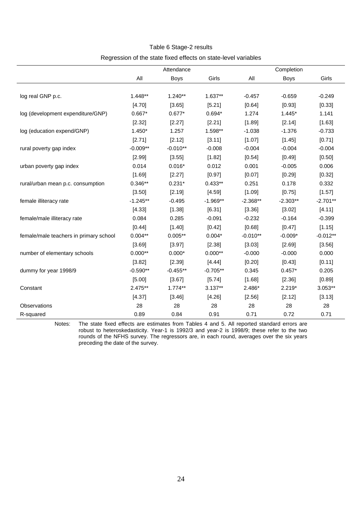#### Table 6 Stage-2 results

# Regression of the state fixed effects on state-level variables

|                                        |            | Attendance  |            |            | Completion  |            |
|----------------------------------------|------------|-------------|------------|------------|-------------|------------|
|                                        | All        | <b>Boys</b> | Girls      | All        | <b>Boys</b> | Girls      |
|                                        |            |             |            |            |             |            |
| log real GNP p.c.                      | 1.448**    | $1.240**$   | $1.637**$  | $-0.457$   | $-0.659$    | $-0.249$   |
|                                        | [4.70]     | [3.65]      | [5.21]     | [0.64]     | [0.93]      | [0.33]     |
| log (development expenditure/GNP)      | $0.667*$   | $0.677*$    | $0.694*$   | 1.274      | $1.445*$    | 1.141      |
|                                        | [2.32]     | [2.27]      | [2.21]     | [1.89]     | [2.14]      | [1.63]     |
| log (education expend/GNP)             | $1.450*$   | 1.257       | 1.598**    | $-1.038$   | $-1.376$    | $-0.733$   |
|                                        | [2.71]     | [2.12]      | [3.11]     | [1.07]     | [1.45]      | [0.71]     |
| rural poverty gap index                | $-0.009**$ | $-0.010**$  | $-0.008$   | $-0.004$   | $-0.004$    | $-0.004$   |
|                                        | [2.99]     | [3.55]      | [1.82]     | [0.54]     | [0.49]      | [0.50]     |
| urban poverty gap index                | 0.014      | $0.016*$    | 0.012      | 0.001      | $-0.005$    | 0.006      |
|                                        | [1.69]     | [2.27]      | [0.97]     | [0.07]     | [0.29]      | [0.32]     |
| rural/urban mean p.c. consumption      | $0.346**$  | $0.231*$    | $0.433**$  | 0.251      | 0.178       | 0.332      |
|                                        | [3.50]     | [2.19]      | [4.59]     | [1.09]     | [0.75]      | [1.57]     |
| female illiteracy rate                 | $-1.245**$ | $-0.495$    | $-1.969**$ | $-2.368**$ | $-2.303**$  | $-2.701**$ |
|                                        | [4.33]     | [1.38]      | [6.31]     | [3.36]     | [3.02]      | [4.11]     |
| female/male illiteracy rate            | 0.084      | 0.285       | $-0.091$   | $-0.232$   | $-0.164$    | $-0.399$   |
|                                        | [0.44]     | [1.40]      | [0.42]     | [0.68]     | [0.47]      | [1.15]     |
| female/male teachers in primary school | $0.004**$  | $0.005**$   | $0.004*$   | $-0.010**$ | $-0.009*$   | $-0.012**$ |
|                                        | [3.69]     | [3.97]      | [2.38]     | [3.03]     | [2.69]      | [3.56]     |
| number of elementary schools           | $0.000**$  | $0.000*$    | $0.000**$  | $-0.000$   | $-0.000$    | 0.000      |
|                                        | [3.82]     | [2.39]      | [4.44]     | [0.20]     | [0.43]      | [0.11]     |
| dummy for year 1998/9                  | $-0.590**$ | $-0.455**$  | $-0.705**$ | 0.345      | $0.457*$    | 0.205      |
|                                        | [5.00]     | [3.67]      | [5.74]     | [1.68]     | [2.36]      | [0.89]     |
| Constant                               | 2.475**    | $1.774**$   | $3.137**$  | 2.486*     | $2.219*$    | $3.053**$  |
|                                        | [4.37]     | [3.46]      | [4.26]     | [2.56]     | [2.12]      | [3.13]     |
| Observations                           | 28         | 28          | 28         | 28         | 28          | 28         |
| R-squared                              | 0.89       | 0.84        | 0.91       | 0.71       | 0.72        | 0.71       |

Notes: The state fixed effects are estimates from Tables 4 and 5. All reported standard errors are robust to heteroskedasticity. Year-1 is 1992/3 and year-2 is 1998/9; these refer to the two rounds of the NFHS survey. The regressors are, in each round, averages over the six years preceding the date of the survey.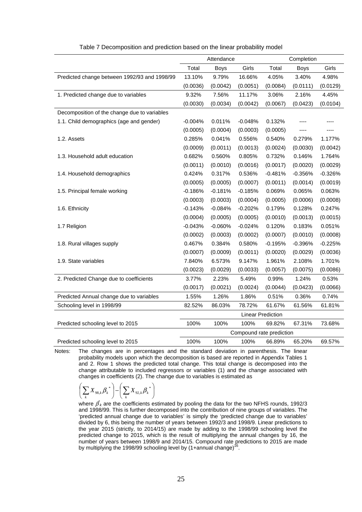|                                              |           | Attendance  |                          |                          | Completion  |           |
|----------------------------------------------|-----------|-------------|--------------------------|--------------------------|-------------|-----------|
|                                              | Total     | <b>Boys</b> | Girls                    | Total                    | <b>Boys</b> | Girls     |
| Predicted change between 1992/93 and 1998/99 | 13.10%    | 9.79%       | 16.66%                   | 4.05%                    | 3.40%       | 4.98%     |
|                                              | (0.0036)  | (0.0042)    | (0.0051)                 | (0.0084)                 | (0.0111)    | (0.0129)  |
| 1. Predicted change due to variables         | 9.32%     | 7.56%       | 11.17%                   | 3.06%                    | 2.16%       | 4.45%     |
|                                              | (0.0030)  | (0.0034)    | (0.0042)                 | (0.0067)                 | (0.0423)    | (0.0104)  |
| Decomposition of the change due to variables |           |             |                          |                          |             |           |
| 1.1. Child demographics (age and gender)     | $-0.004%$ | 0.011%      | $-0.048%$                | 0.132%                   |             |           |
|                                              | (0.0005)  | (0.0004)    | (0.0003)                 | (0.0005)                 |             |           |
| 1.2. Assets                                  | 0.285%    | 0.041%      | 0.556%                   | 0.540%                   | 0.279%      | 1.177%    |
|                                              | (0.0009)  | (0.0011)    | (0.0013)                 | (0.0024)                 | (0.0030)    | (0.0042)  |
| 1.3. Household adult education               | 0.682%    | 0.560%      | 0.805%                   | 0.732%                   | 0.146%      | 1.764%    |
|                                              | (0.0011)  | (0.0010)    | (0.0016)                 | (0.0017)                 | (0.0020)    | (0.0029)  |
| 1.4. Household demographics                  | 0.424%    | 0.317%      | 0.536%                   | $-0.481%$                | $-0.356%$   | $-0.326%$ |
|                                              | (0.0005)  | (0.0005)    | (0.0007)                 | (0.0011)                 | (0.0014)    | (0.0019)  |
| 1.5. Principal female working                | $-0.186%$ | $-0.181%$   | $-0.185%$                | 0.069%                   | 0.065%      | 0.063%    |
|                                              | (0.0003)  | (0.0003)    | (0.0004)                 | (0.0005)                 | (0.0006)    | (0.0008)  |
| 1.6. Ethnicity                               | $-0.143%$ | $-0.084%$   | $-0.202%$                | 0.179%                   | 0.128%      | 0.247%    |
|                                              | (0.0004)  | (0.0005)    | (0.0005)                 | (0.0010)                 | (0.0013)    | (0.0015)  |
| 1.7 Religion                                 | $-0.043%$ | $-0.060%$   | $-0.024%$                | 0.120%                   | 0.183%      | 0.051%    |
|                                              | (0.0002)  | (0.0003)    | (0.0002)                 | (0.0007)                 | (0.0010)    | (0.0008)  |
| 1.8. Rural villages supply                   | 0.467%    | 0.384%      | 0.580%                   | $-0.195%$                | $-0.396%$   | $-0.225%$ |
|                                              | (0.0007)  | (0.0009)    | (0.0011)                 | (0.0020)                 | (0.0029)    | (0.0036)  |
| 1.9. State variables                         | 7.840%    | 6.573%      | 9.147%                   | 1.961%                   | 2.108%      | 1.701%    |
|                                              | (0.0023)  | (0.0029)    | (0.0033)                 | (0.0057)                 | (0.0075)    | (0.0086)  |
| 2. Predicted Change due to coefficients      | 3.77%     | 2.23%       | 5.49%                    | 0.99%                    | 1.24%       | 0.53%     |
|                                              | (0.0017)  | (0.0021)    | (0.0024)                 | (0.0044)                 | (0.0423)    | (0.0066)  |
| Predicted Annual change due to variables     | 1.55%     | 1.26%       | 1.86%                    | 0.51%                    | 0.36%       | 0.74%     |
| Schooling level in 1998/99                   | 82.52%    | 86.03%      | 78.72%                   | 61.67%                   | 61.56%      | 61.81%    |
|                                              |           |             |                          | <b>Linear Prediction</b> |             |           |
| Predicted schooling level to 2015            | 100%      | 100%        | 100%                     | 69.82%                   | 67.31%      | 73.68%    |
|                                              |           |             | Compound rate prediction |                          |             |           |
| Predicted schooling level to 2015            | 100%      | 100%        | 100%                     | 66.89%                   | 65.20%      | 69.57%    |

#### Table 7 Decomposition and prediction based on the linear probability model

Notes: The changes are in percentages and the standard deviation in parenthesis. The linear probability models upon which the decomposition is based are reported in Appendix Tables 1 and 2. Row 1 shows the predicted total change. This total change is decomposed into the change attributable to included regressors or variables (1) and the change associated with changes in coefficients (2). The change due to variables is estimated as

$$
\left(\sum_{k} {X}_{98,k}{\boldsymbol{\beta}_{k}}^{*}\right)\!\!-\!\!\left(\sum_{k} {X}_{92,k}{\boldsymbol{\beta}_{k}}^{*}\right)
$$

where  $\beta^*$ <sub>k</sub> are the coefficients estimated by pooling the data for the two NFHS rounds, 1992/3 and 1998/99. This is further decomposed into the contribution of nine groups of variables. The 'predicted annual change due to variables' is simply the 'predicted change due to variables' divided by 6, this being the number of years between 1992/3 and 1998/9. Linear predictions to the year 2015 (strictly, to 2014/15) are made by adding to the 1998/99 schooling level the predicted change to 2015, which is the result of multiplying the annual changes by 16, the number of years between 1998/9 and 2014/15. Compound rate predictions to 2015 are made by multiplying the 1998/99 schooling level by  $(1+$ annual change)<sup>16</sup>.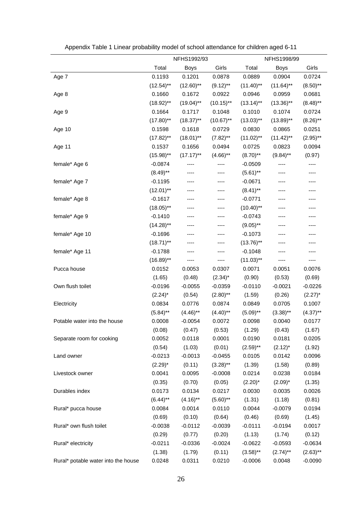|                                     |              | NFHS1992/93  |              | NFHS1998/99  |              |             |
|-------------------------------------|--------------|--------------|--------------|--------------|--------------|-------------|
|                                     | Total        | <b>Boys</b>  | Girls        | Total        | <b>Boys</b>  | Girls       |
| Age 7                               | 0.1193       | 0.1201       | 0.0878       | 0.0889       | 0.0904       | 0.0724      |
|                                     | $(12.54)$ ** | $(12.60)$ ** | $(9.12)$ **  | $(11.40)$ ** | $(11.64)$ ** | $(8.50)$ ** |
| Age 8                               | 0.1660       | 0.1672       | 0.0922       | 0.0946       | 0.0959       | 0.0681      |
|                                     | $(18.92)$ ** | $(19.04)$ ** | $(10.15)$ ** | $(13.14)$ ** | $(13.36)$ ** | $(8.48)$ ** |
| Age 9                               | 0.1664       | 0.1717       | 0.1048       | 0.1010       | 0.1074       | 0.0724      |
|                                     | $(17.80)$ ** | $(18.37)$ ** | $(10.67)$ ** | $(13.03)$ ** | $(13.89)$ ** | $(8.26)$ ** |
| Age 10                              | 0.1598       | 0.1618       | 0.0729       | 0.0830       | 0.0865       | 0.0251      |
|                                     | $(17.82)$ ** | $(18.01)$ ** | $(7.82)$ **  | $(11.02)$ ** | $(11.42)$ ** | $(2.95)$ ** |
| Age 11                              | 0.1537       | 0.1656       | 0.0494       | 0.0725       | 0.0823       | 0.0094      |
|                                     | $(15.98)$ ** | $(17.17)$ ** | $(4.66)$ **  | $(8.70)$ **  | $(9.84)$ **  | (0.97)      |
| female* Age 6                       | $-0.0874$    |              | ----         | $-0.0509$    | ----         | ----        |
|                                     | $(8.49)$ **  |              | ----         | $(5.61)$ **  | ----         | ----        |
| female* Age 7                       | $-0.1195$    |              |              | $-0.0671$    |              |             |
|                                     | $(12.01)$ ** |              |              | $(8.41)$ **  |              |             |
| female* Age 8                       | $-0.1617$    | ----         | ----         | $-0.0771$    | ---          | ----        |
|                                     | $(18.05)$ ** | ----         | ----         | $(10.40)$ ** | ----         | ----        |
| female* Age 9                       | $-0.1410$    | ----         | ----         | $-0.0743$    | ----         | ----        |
|                                     | $(14.28)$ ** | ----         | ----         | $(9.05)$ **  |              |             |
| female* Age 10                      | $-0.1696$    | ----         |              | $-0.1073$    | ----         | ----        |
|                                     | $(18.71)$ ** | ----         |              | $(13.76)$ ** |              |             |
| female* Age 11                      | $-0.1788$    | ----         | ----         | $-0.1048$    | ----         | ----        |
|                                     | $(16.89)$ ** | ----         | ----         | $(11.03)$ ** | ----         | ----        |
| Pucca house                         | 0.0152       | 0.0053       | 0.0307       | 0.0071       | 0.0051       | 0.0076      |
|                                     | (1.65)       | (0.48)       | $(2.34)^*$   | (0.90)       | (0.53)       | (0.69)      |
| Own flush toilet                    | $-0.0196$    | $-0.0055$    | $-0.0359$    | $-0.0110$    | $-0.0021$    | $-0.0226$   |
|                                     | $(2.24)^*$   | (0.54)       | $(2.80)$ **  | (1.59)       | (0.26)       | $(2.27)^*$  |
| Electricity                         | 0.0834       | 0.0776       | 0.0874       | 0.0849       | 0.0705       | 0.1007      |
|                                     | $(5.84)$ **  | $(4.46)$ **  | $(4.40)$ **  | $(5.09)$ **  | $(3.38)$ **  | $(4.37)$ ** |
| Potable water into the house        | 0.0008       | $-0.0054$    | 0.0072       | 0.0098       | 0.0040       | 0.0177      |
|                                     | (0.08)       | (0.47)       | (0.53)       | (1.29)       | (0.43)       | (1.67)      |
| Separate room for cooking           | 0.0052       | 0.0118       | 0.0001       | 0.0190       | 0.0181       | 0.0205      |
|                                     | (0.54)       | (1.03)       | (0.01)       | $(2.59)$ **  | $(2.12)^*$   | (1.92)      |
| Land owner                          | $-0.0213$    | $-0.0013$    | $-0.0455$    | 0.0105       | 0.0142       | 0.0096      |
|                                     | $(2.29)^*$   | (0.11)       | $(3.28)$ **  | (1.39)       | (1.58)       | (0.89)      |
| Livestock owner                     | 0.0041       | 0.0095       | $-0.0008$    | 0.0214       | 0.0238       | 0.0184      |
|                                     | (0.35)       | (0.70)       | (0.05)       | $(2.20)^*$   | $(2.09)^*$   | (1.35)      |
| Durables index                      | 0.0173       | 0.0134       | 0.0217       | 0.0030       | 0.0035       | 0.0026      |
|                                     | $(6.44)$ **  | $(4.16)$ **  | $(5.60)$ **  | (1.31)       | (1.18)       | (0.81)      |
| Rural* pucca house                  | 0.0084       | 0.0014       | 0.0110       | 0.0044       | $-0.0079$    | 0.0194      |
|                                     | (0.69)       | (0.10)       | (0.64)       | (0.46)       | (0.69)       | (1.45)      |
| Rural* own flush toilet             | $-0.0038$    | $-0.0112$    | $-0.0039$    | $-0.0111$    | $-0.0194$    | 0.0017      |
|                                     | (0.29)       | (0.77)       | (0.20)       | (1.13)       | (1.74)       | (0.12)      |
| Rural* electricity                  | $-0.0211$    | $-0.0336$    | $-0.0024$    | $-0.0622$    | $-0.0593$    | $-0.0634$   |
|                                     | (1.38)       | (1.79)       | (0.11)       | $(3.58)$ **  | $(2.74)$ **  | $(2.63)$ ** |
| Rural* potable water into the house | 0.0248       | 0.0311       | 0.0210       | $-0.0006$    | 0.0048       | $-0.0090$   |

Appendix Table 1 Linear probability model of school attendance for children aged 6-11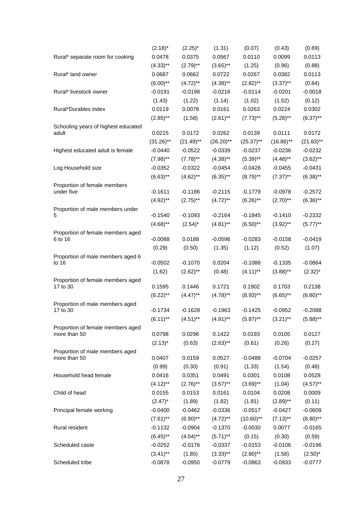|                                             | $(2.18)^*$   | $(2.25)^*$   | (1.31)       | (0.07)       | (0.43)       | (0.69)       |
|---------------------------------------------|--------------|--------------|--------------|--------------|--------------|--------------|
| Rural* separate room for cooking            | 0.0478       | 0.0375       | 0.0567       | 0.0110       | 0.0099       | 0.0113       |
|                                             | $(4.33)$ **  | $(2.79)$ **  | $(3.65)$ **  | (1.25)       | (0.96)       | (0.88)       |
| Rural* land owner                           | 0.0687       | 0.0662       | 0.0722       | 0.0267       | 0.0382       | 0.0113       |
|                                             | $(6.00)$ **  | $(4.72)$ **  | $(4.38)$ **  | $(2.82)$ **  | $(3.37)$ **  | (0.84)       |
| Rural* livestock owner                      | $-0.0191$    | $-0.0198$    | $-0.0216$    | $-0.0114$    | $-0.0201$    | $-0.0018$    |
|                                             | (1.43)       | (1.22)       | (1.14)       | (1.02)       | (1.52)       | (0.12)       |
| Rural*Durables index                        | 0.0119       | 0.0078       | 0.0161       | 0.0263       | 0.0224       | 0.0302       |
|                                             | $(2.85)$ **  | (1.58)       | $(2.61)$ **  | $(7.73)$ **  | $(5.28)$ **  | $(6.37)$ **  |
| Schooling years of highest educated         |              |              |              |              |              |              |
| adult                                       | 0.0215       | 0.0172       | 0.0262       | 0.0139       | 0.0111       | 0.0172       |
|                                             | $(31.26)$ ** | $(21.49)$ ** | $(26.20)$ ** | $(25.37)$ ** | $(16.86)$ ** | $(21.83)$ ** |
| Highest educated adult is female            | $-0.0440$    | $-0.0522$    | $-0.0339$    | $-0.0237$    | $-0.0236$    | $-0.0232$    |
|                                             | $(7.98)$ **  | $(7.78)$ **  | $(4.38)$ **  | $(5.39)$ **  | $(4.48)$ **  | $(3.62)$ **  |
| Log Household size                          | $-0.0352$    | $-0.0322$    | $-0.0454$    | $-0.0428$    | $-0.0455$    | $-0.0431$    |
|                                             | $(6.63)$ **  | $(4.62)$ **  | $(6.35)$ **  | $(8.79)$ **  | $(7.37)$ **  | $(6.38)$ **  |
| Proportion of female members                |              |              |              |              |              |              |
| under five                                  | $-0.1611$    | $-0.1186$    | $-0.2115$    | $-0.1779$    | $-0.0978$    | $-0.2572$    |
|                                             | $(4.92)$ **  | $(2.75)$ **  | $(4.72)$ **  | $(6.26)$ **  | $(2.70)$ **  | $(6.36)$ **  |
| Proportion of male members under<br>5       | $-0.1540$    | $-0.1093$    | $-0.2164$    | $-0.1845$    | $-0.1410$    | $-0.2332$    |
|                                             | $(4.68)$ **  | $(2.54)^*$   | $(4.81)$ **  | $(6.50)$ **  | $(3.92)$ **  | $(5.77)$ **  |
| Proportion of female members aged           |              |              |              |              |              |              |
| 6 to 16                                     | $-0.0088$    | 0.0188       | $-0.0596$    | $-0.0283$    | $-0.0158$    | $-0.0419$    |
|                                             | (0.29)       | (0.50)       | (1.35)       | (1.12)       | (0.52)       | (1.07)       |
| Proportion of male members aged 6           |              |              |              |              |              |              |
| to 16                                       | $-0.0502$    | $-0.1070$    | 0.0204       | $-0.1088$    | $-0.1335$    | $-0.0864$    |
|                                             | (1.62)       | $(2.62)$ **  | (0.48)       | $(4.11)$ **  | $(3.88)$ **  | $(2.32)^{*}$ |
| Proportion of female members aged           |              |              |              |              |              |              |
| 17 to 30                                    | 0.1595       | 0.1446       | 0.1721       | 0.1902       | 0.1703       | 0.2138       |
|                                             | $(6.22)$ **  | $(4.47)$ **  | $(4.78)$ **  | $(8.93)$ **  | $(6.65)$ **  | $(6.80)$ **  |
| Proportion of male members aged<br>17 to 30 | $-0.1734$    | $-0.1628$    | $-0.1963$    | $-0.1425$    | $-0.0952$    | $-0.2088$    |
|                                             | $(6.11)$ **  | $(4.51)$ **  | $(4.91)$ **  | $(5.87)$ **  | $(3.21)$ **  | $(5.88)$ **  |
| Proportion of female members aged           |              |              |              |              |              |              |
| more than 50                                | 0.0798       | 0.0296       | 0.1422       | 0.0193       | 0.0105       | 0.0127       |
|                                             | $(2.13)^*$   | (0.63)       | $(2.63)$ **  | (0.61)       | (0.26)       | (0.27)       |
| Proportion of male members aged             |              |              |              |              |              |              |
| more than 50                                | 0.0407       | 0.0159       | 0.0527       | $-0.0488$    | $-0.0704$    | $-0.0257$    |
|                                             | (0.99)       | (0.30)       | (0.91)       | (1.33)       | (1.54)       | (0.48)       |
| Household head female                       | 0.0416       | 0.0351       | 0.0491       | 0.0301       | 0.0108       | 0.0528       |
|                                             | $(4.12)$ **  | $(2.76)$ **  | $(3.57)$ **  | $(3.69)$ **  | (1.04)       | $(4.57)$ **  |
| Child of head                               | 0.0155       | 0.0153       | 0.0161       | 0.0104       | 0.0208       | 0.0009       |
|                                             | $(2.47)^*$   | (1.89)       | (1.82)       | (1.81)       | $(2.89)$ **  | (0.11)       |
| Principal female working                    | $-0.0400$    | $-0.0462$    | $-0.0336$    | $-0.0517$    | $-0.0427$    | $-0.0609$    |
|                                             | $(7.61)$ **  | $(6.90)$ **  | $(4.72)$ **  | $(10.60)$ ** | $(7.13)$ **  | $(8.80)$ **  |
| Rural resident                              | $-0.1132$    | $-0.0904$    | $-0.1370$    | $-0.0030$    | 0.0077       | $-0.0165$    |
|                                             | $(6.45)$ **  | $(4.04)$ **  | $(5.71)$ **  | (0.15)       | (0.30)       | (0.59)       |
| Scheduled caste                             | $-0.0252$    | $-0.0176$    | $-0.0337$    | $-0.0153$    | $-0.0106$    | $-0.0196$    |
|                                             | $(3.41)$ **  | (1.85)       | $(3.33)$ **  | $(2.80)$ **  | (1.58)       | $(2.50)^*$   |
| Scheduled tribe                             | $-0.0878$    | $-0.0950$    | $-0.0779$    | $-0.0863$    | $-0.0933$    | $-0.0777$    |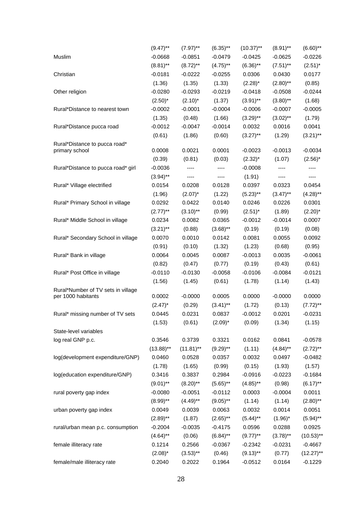|                                    | $(9.47)$ **  | $(7.97)$ **  | $(6.35)$ ** | $(10.37)$ ** | $(8.91)$ ** | $(6.60)$ **  |
|------------------------------------|--------------|--------------|-------------|--------------|-------------|--------------|
| Muslim                             | $-0.0668$    | $-0.0851$    | $-0.0479$   | $-0.0425$    | $-0.0625$   | $-0.0226$    |
|                                    | $(8.81)$ **  | $(8.72)$ **  | $(4.75)$ ** | $(6.36)$ **  | $(7.51)$ ** | $(2.51)^*$   |
| Christian                          | $-0.0181$    | $-0.0222$    | $-0.0255$   | 0.0306       | 0.0430      | 0.0177       |
|                                    | (1.36)       | (1.35)       | (1.33)      | $(2.28)^*$   | $(2.80)$ ** | (0.85)       |
| Other religion                     | $-0.0280$    | $-0.0293$    | $-0.0219$   | $-0.0418$    | $-0.0508$   | $-0.0244$    |
|                                    | $(2.50)^*$   | $(2.10)^*$   | (1.37)      | $(3.91)$ **  | $(3.80)$ ** | (1.68)       |
| Rural*Distance to nearest town     | $-0.0002$    | $-0.0001$    | $-0.0004$   | $-0.0006$    | $-0.0007$   | $-0.0005$    |
|                                    | (1.35)       | (0.48)       | (1.66)      | $(3.29)$ **  | $(3.02)$ ** | (1.79)       |
| Rural*Distance pucca road          | $-0.0012$    | $-0.0047$    | $-0.0014$   | 0.0032       | 0.0016      | 0.0041       |
|                                    | (0.61)       | (1.86)       | (0.60)      | $(3.27)$ **  | (1.29)      | $(3.21)$ **  |
| Rural*Distance to pucca road*      |              |              |             |              |             |              |
| primary school                     | 0.0008       | 0.0021       | 0.0001      | $-0.0023$    | $-0.0013$   | $-0.0034$    |
|                                    | (0.39)       | (0.81)       | (0.03)      | $(2.32)^{*}$ | (1.07)      | $(2.56)^*$   |
| Rural*Distance to pucca road* girl | $-0.0036$    | ----         | ----        | $-0.0008$    | ----        | ----         |
|                                    | $(3.94)$ **  | ----         | $\cdots$    | (1.91)       | ----        | ----         |
| Rural* Village electrified         | 0.0154       | 0.0208       | 0.0128      | 0.0397       | 0.0323      | 0.0454       |
|                                    | (1.96)       | $(2.07)^*$   | (1.22)      | $(5.23)$ **  | $(3.47)$ ** | $(4.28)$ **  |
| Rural* Primary School in village   | 0.0292       | 0.0422       | 0.0140      | 0.0246       | 0.0226      | 0.0301       |
|                                    | $(2.77)$ **  | $(3.10)$ **  | (0.99)      | $(2.51)^*$   | (1.89)      | $(2.20)^*$   |
| Rural* Middle School in village    | 0.0234       | 0.0082       | 0.0365      | $-0.0012$    | $-0.0014$   | 0.0007       |
|                                    | $(3.21)$ **  | (0.88)       | $(3.68)$ ** | (0.19)       | (0.19)      | (0.08)       |
| Rural* Secondary School in village | 0.0070       | 0.0010       | 0.0142      | 0.0081       | 0.0055      | 0.0092       |
|                                    | (0.91)       | (0.10)       | (1.32)      | (1.23)       | (0.68)      | (0.95)       |
| Rural* Bank in village             | 0.0064       | 0.0045       | 0.0087      | $-0.0013$    | 0.0035      | $-0.0061$    |
|                                    | (0.82)       | (0.47)       | (0.77)      | (0.19)       | (0.43)      | (0.61)       |
| Rural* Post Office in village      | $-0.0110$    | $-0.0130$    | $-0.0058$   | $-0.0106$    | $-0.0084$   | $-0.0121$    |
|                                    | (1.56)       | (1.45)       | (0.61)      | (1.78)       | (1.14)      | (1.43)       |
| Rural*Number of TV sets in village |              |              |             |              |             |              |
| per 1000 habitants                 | 0.0002       | $-0.0000$    | 0.0005      | 0.0000       | $-0.0000$   | 0.0000       |
|                                    | $(2.47)^*$   | (0.29)       | $(3.41)$ ** | (1.72)       | (0.13)      | $(7.72)$ **  |
| Rural* missing number of TV sets   | 0.0445       | 0.0231       | 0.0837      | $-0.0012$    | 0.0201      | $-0.0231$    |
|                                    | (1.53)       | (0.61)       | $(2.09)^*$  | (0.09)       | (1.34)      | (1.15)       |
| State-level variables              |              |              |             |              |             |              |
| log real GNP p.c.                  | 0.3546       | 0.3739       | 0.3321      | 0.0162       | 0.0841      | $-0.0578$    |
|                                    | $(13.88)$ ** | $(11.81)$ ** | $(9.29)$ ** | (1.11)       | $(4.84)$ ** | $(2.72)$ **  |
| log(development expenditure/GNP)   | 0.0460       | 0.0528       | 0.0357      | 0.0032       | 0.0497      | $-0.0482$    |
|                                    | (1.78)       | (1.65)       | (0.99)      | (0.15)       | (1.93)      | (1.57)       |
| log(education expenditure/GNP)     | 0.3416       | 0.3837       | 0.2984      | $-0.0916$    | $-0.0223$   | $-0.1684$    |
|                                    | $(9.01)$ **  | $(8.20)$ **  | $(5.65)$ ** | $(4.85)$ **  | (0.98)      | $(6.17)$ **  |
| rural poverty gap index            | $-0.0080$    | $-0.0051$    | $-0.0112$   | 0.0003       | $-0.0004$   | 0.0011       |
|                                    | $(8.99)$ **  | $(4.49)$ **  | $(9.05)$ ** | (1.14)       | (1.14)      | $(2.80)$ **  |
| urban poverty gap index            | 0.0049       | 0.0039       | 0.0063      | 0.0032       | 0.0014      | 0.0051       |
|                                    | $(2.89)$ **  | (1.87)       | $(2.65)$ ** | $(5.44)$ **  | $(1.96)^*$  | $(5.94)$ **  |
| rural/urban mean p.c. consumption  | $-0.2004$    | $-0.0035$    | $-0.4175$   | 0.0596       | 0.0288      | 0.0925       |
|                                    | $(4.64)$ **  | (0.06)       | $(6.84)$ ** | $(9.77)$ **  | $(3.78)$ ** | $(10.53)$ ** |
| female illiteracy rate             | 0.1214       | 0.2566       | $-0.0367$   | $-0.2342$    | $-0.0231$   | $-0.4667$    |
|                                    | $(2.08)^*$   | $(3.53)$ **  | (0.46)      | $(9.13)$ **  | (0.77)      | $(12.27)$ ** |
| female/male illiteracy rate        | 0.2040       | 0.2022       | 0.1964      | $-0.0512$    | 0.0164      | $-0.1229$    |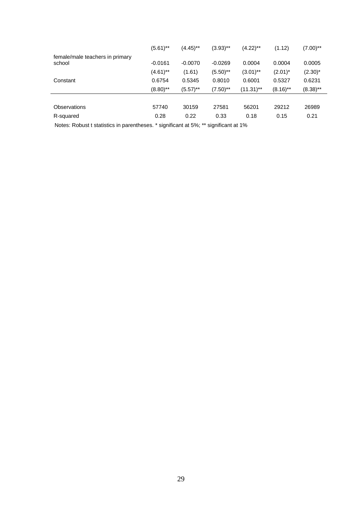|                                           | $(5.61)$ ** | $(4.45)$ ** | $(3.93)$ ** | $(4.22)$ **  | (1.12)      | $(7.00)$ ** |
|-------------------------------------------|-------------|-------------|-------------|--------------|-------------|-------------|
| female/male teachers in primary<br>school | $-0.0161$   | $-0.0070$   | $-0.0269$   | 0.0004       | 0.0004      | 0.0005      |
|                                           | $(4.61)$ ** | (1.61)      | $(5.50)$ ** | $(3.01)$ **  | $(2.01)^*$  | $(2.30)^*$  |
| Constant                                  | 0.6754      | 0.5345      | 0.8010      | 0.6001       | 0.5327      | 0.6231      |
|                                           | $(8.80)$ ** | $(5.57)$ ** | $(7.50)$ ** | $(11.31)$ ** | $(8.16)$ ** | $(8.38)$ ** |
|                                           |             |             |             |              |             |             |
| <b>Observations</b>                       | 57740       | 30159       | 27581       | 56201        | 29212       | 26989       |
| R-squared                                 | 0.28        | 0.22        | 0.33        | 0.18         | 0.15        | 0.21        |
|                                           |             |             |             |              |             |             |

Notes: Robust t statistics in parentheses. \* significant at 5%; \*\* significant at 1%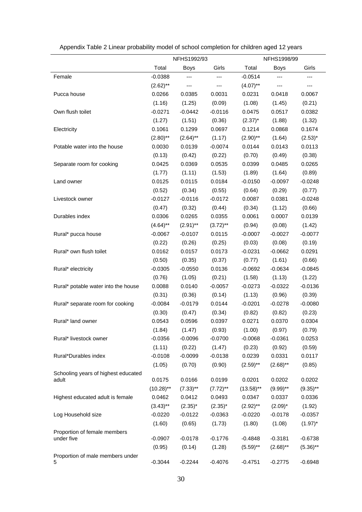|                                       |                     | NFHS1992/93 |             |              | NFHS1998/99 |             |
|---------------------------------------|---------------------|-------------|-------------|--------------|-------------|-------------|
|                                       | Total               | <b>Boys</b> | Girls       | Total        | <b>Boys</b> | Girls       |
| Female                                | $-0.0388$           | ---         | ---         | $-0.0514$    | ---         |             |
|                                       | $(2.62)$ **         |             |             | $(4.07)$ **  |             |             |
| Pucca house                           | 0.0266              | 0.0385      | 0.0031      | 0.0231       | 0.0418      | 0.0067      |
|                                       | (1.16)              | (1.25)      | (0.09)      | (1.08)       | (1.45)      | (0.21)      |
| Own flush toilet                      | $-0.0271$           | $-0.0442$   | $-0.0116$   | 0.0475       | 0.0517      | 0.0382      |
|                                       | (1.27)              | (1.51)      | (0.36)      | $(2.37)^*$   | (1.88)      | (1.32)      |
| Electricity                           | 0.1061              | 0.1299      | 0.0697      | 0.1214       | 0.0868      | 0.1674      |
|                                       | $(2.80)$ **         | $(2.64)$ ** | (1.17)      | $(2.90)$ **  | (1.64)      | $(2.53)^*$  |
| Potable water into the house          | 0.0030              | 0.0139      | $-0.0074$   | 0.0144       | 0.0143      | 0.0113      |
|                                       | (0.13)              | (0.42)      | (0.22)      | (0.70)       | (0.49)      | (0.38)      |
| Separate room for cooking             | 0.0425              | 0.0369      | 0.0535      | 0.0399       | 0.0485      | 0.0265      |
|                                       | (1.77)              | (1.11)      | (1.53)      | (1.89)       | (1.64)      | (0.89)      |
| Land owner                            | 0.0125              | 0.0115      | 0.0184      | $-0.0150$    | $-0.0097$   | $-0.0248$   |
|                                       | (0.52)              | (0.34)      | (0.55)      | (0.64)       | (0.29)      | (0.77)      |
| Livestock owner                       | $-0.0127$           | $-0.0116$   | $-0.0172$   | 0.0087       | 0.0381      | $-0.0248$   |
|                                       | (0.47)              | (0.32)      | (0.44)      | (0.34)       | (1.12)      | (0.66)      |
| Durables index                        | 0.0306              | 0.0265      | 0.0355      | 0.0061       | 0.0007      | 0.0139      |
|                                       | $(4.64)$ **         | $(2.91)$ ** | $(3.72)$ ** | (0.94)       | (0.08)      | (1.42)      |
| Rural* pucca house                    | $-0.0067$           | $-0.0107$   | 0.0115      | $-0.0007$    | $-0.0027$   | $-0.0077$   |
|                                       | (0.22)              | (0.26)      | (0.25)      | (0.03)       | (0.08)      | (0.19)      |
| Rural* own flush toilet               | 0.0162              | 0.0157      | 0.0173      | $-0.0231$    | $-0.0662$   | 0.0291      |
|                                       | (0.50)              | (0.35)      | (0.37)      | (0.77)       | (1.61)      | (0.66)      |
| Rural* electricity                    | $-0.0305$           | $-0.0550$   | 0.0136      | $-0.0692$    | $-0.0634$   | $-0.0845$   |
|                                       | (0.76)              | (1.05)      | (0.21)      | (1.58)       | (1.13)      | (1.22)      |
| Rural* potable water into the house   | 0.0088              | 0.0140      | $-0.0057$   | $-0.0273$    | $-0.0322$   | $-0.0136$   |
|                                       | (0.31)              | (0.36)      | (0.14)      | (1.13)       | (0.96)      | (0.39)      |
| Rural* separate room for cooking      | $-0.0084$           | $-0.0179$   | 0.0144      | $-0.0201$    | $-0.0278$   | $-0.0080$   |
|                                       | (0.30)              | (0.47)      | (0.34)      | (0.82)       | (0.82)      | (0.23)      |
| Rural* land owner                     | 0.0543              | 0.0596      | 0.0397      | 0.0271       | 0.0370      | 0.0304      |
|                                       | (1.84)              | (1.47)      | (0.93)      | (1.00)       | (0.97)      | (0.79)      |
| Rural* livestock owner                | $-0.0356$           | $-0.0096$   | $-0.0700$   | $-0.0068$    | $-0.0361$   | 0.0253      |
|                                       | (1.11)              | (0.22)      | (1.47)      | (0.23)       | (0.92)      | (0.59)      |
| Rural*Durables index                  | $-0.0108$<br>(1.05) | $-0.0099$   | $-0.0138$   | 0.0239       | 0.0331      | 0.0117      |
| Schooling years of highest educated   |                     | (0.70)      | (0.90)      | $(2.59)$ **  | $(2.68)$ ** | (0.85)      |
| adult                                 | 0.0175              | 0.0166      | 0.0199      | 0.0201       | 0.0202      | 0.0202      |
|                                       | $(10.28)$ **        | $(7.33)$ ** | $(7.72)$ ** | $(13.58)$ ** | $(9.99)$ ** | $(9.35)$ ** |
| Highest educated adult is female      | 0.0462              | 0.0412      | 0.0493      | 0.0347       | 0.0337      | 0.0336      |
|                                       | $(3.43)$ **         | $(2.35)^*$  | $(2.35)^*$  | $(2.92)$ **  | $(2.09)^*$  | (1.92)      |
| Log Household size                    | $-0.0220$           | $-0.0122$   | $-0.0363$   | $-0.0220$    | $-0.0178$   | $-0.0357$   |
|                                       | (1.60)              | (0.65)      | (1.73)      | (1.80)       | (1.08)      | $(1.97)^*$  |
| Proportion of female members          |                     |             |             |              |             |             |
| under five                            | $-0.0907$           | $-0.0178$   | $-0.1776$   | $-0.4848$    | $-0.3181$   | $-0.6738$   |
|                                       | (0.95)              | (0.14)      | (1.28)      | $(5.59)$ **  | $(2.68)$ ** | $(5.36)$ ** |
| Proportion of male members under<br>5 | $-0.3044$           | $-0.2244$   | $-0.4076$   | $-0.4751$    | $-0.2775$   | $-0.6948$   |

Appendix Table 2 Linear probability model of school completion for children aged 12 years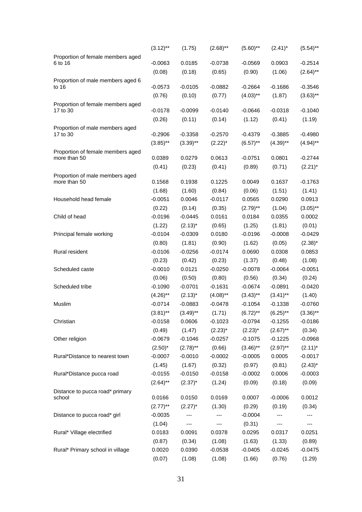|                                                 | $(3.12)$ ** | (1.75)      | $(2.68)$ ** | $(5.60)$ ** | $(2.41)^*$  | $(5.54)$ ** |
|-------------------------------------------------|-------------|-------------|-------------|-------------|-------------|-------------|
| Proportion of female members aged               |             |             |             |             |             |             |
| 6 to 16                                         | $-0.0063$   | 0.0185      | $-0.0738$   | $-0.0569$   | 0.0903      | $-0.2514$   |
|                                                 | (0.08)      | (0.18)      | (0.65)      | (0.90)      | (1.06)      | $(2.64)$ ** |
| Proportion of male members aged 6<br>to 16      | $-0.0573$   | $-0.0105$   | $-0.0882$   | $-0.2664$   | $-0.1686$   | $-0.3546$   |
|                                                 | (0.76)      | (0.10)      | (0.77)      | $(4.03)$ ** | (1.87)      | $(3.63)$ ** |
| Proportion of female members aged               |             |             |             |             |             |             |
| 17 to 30                                        | $-0.0178$   | $-0.0099$   | $-0.0140$   | $-0.0646$   | $-0.0318$   | $-0.1040$   |
|                                                 | (0.26)      | (0.11)      | (0.14)      | (1.12)      | (0.41)      | (1.19)      |
| Proportion of male members aged                 |             |             |             |             |             |             |
| 17 to 30                                        | $-0.2906$   | $-0.3358$   | $-0.2570$   | $-0.4379$   | $-0.3885$   | $-0.4980$   |
|                                                 | $(3.85)$ ** | $(3.39)$ ** | $(2.22)^*$  | $(6.57)$ ** | $(4.39)$ ** | $(4.94)$ ** |
| Proportion of female members aged               |             |             |             |             |             |             |
| more than 50                                    | 0.0389      | 0.0279      | 0.0613      | $-0.0751$   | 0.0801      | $-0.2744$   |
|                                                 | (0.41)      | (0.23)      | (0.41)      | (0.89)      | (0.71)      | $(2.21)^*$  |
| Proportion of male members aged<br>more than 50 | 0.1568      | 0.1938      | 0.1225      | 0.0049      | 0.1637      | $-0.1763$   |
|                                                 | (1.68)      | (1.60)      | (0.84)      | (0.06)      | (1.51)      | (1.41)      |
| Household head female                           | $-0.0051$   | 0.0046      | $-0.0117$   | 0.0565      | 0.0290      | 0.0913      |
|                                                 | (0.22)      | (0.14)      | (0.35)      | $(2.79)$ ** | (1.04)      | $(3.05)$ ** |
| Child of head                                   | $-0.0196$   | $-0.0445$   | 0.0161      | 0.0184      | 0.0355      | 0.0002      |
|                                                 | (1.22)      | $(2.13)^*$  | (0.65)      | (1.25)      | (1.81)      | (0.01)      |
| Principal female working                        | $-0.0104$   | $-0.0309$   | 0.0180      | $-0.0196$   | $-0.0008$   | $-0.0429$   |
|                                                 | (0.80)      | (1.81)      | (0.90)      | (1.62)      | (0.05)      | $(2.38)^*$  |
| Rural resident                                  | $-0.0106$   | $-0.0256$   | $-0.0174$   | 0.0690      | 0.0308      | 0.0853      |
|                                                 | (0.23)      | (0.42)      | (0.23)      | (1.37)      | (0.48)      | (1.08)      |
| Scheduled caste                                 | $-0.0010$   | 0.0121      | $-0.0250$   | $-0.0078$   | $-0.0064$   | $-0.0051$   |
|                                                 | (0.06)      | (0.50)      | (0.80)      | (0.56)      | (0.34)      | (0.24)      |
| Scheduled tribe                                 | $-0.1090$   | $-0.0701$   | $-0.1631$   | $-0.0674$   | $-0.0891$   | $-0.0420$   |
|                                                 | $(4.26)$ ** | $(2.13)^*$  | $(4.08)$ ** | $(3.43)$ ** | $(3.41)$ ** | (1.40)      |
| Muslim                                          | $-0.0714$   | $-0.0883$   | $-0.0478$   | $-0.1054$   | $-0.1338$   | $-0.0760$   |
|                                                 | $(3.81)$ ** | $(3.49)$ ** | (1.71)      | $(6.72)$ ** | $(6.25)$ ** | $(3.36)$ ** |
| Christian                                       | $-0.0158$   | 0.0606      | $-0.1023$   | $-0.0794$   | $-0.1255$   | $-0.0186$   |
|                                                 | (0.49)      | (1.47)      | $(2.23)^*$  | $(2.23)^*$  | $(2.67)$ ** | (0.34)      |
| Other religion                                  | $-0.0679$   | $-0.1046$   | $-0.0257$   | $-0.1075$   | $-0.1225$   | $-0.0968$   |
|                                                 | $(2.50)^*$  | $(2.78)$ ** | (0.66)      | $(3.46)$ ** | $(2.97)$ ** | $(2.11)^*$  |
| Rural*Distance to nearest town                  | $-0.0007$   | $-0.0010$   | $-0.0002$   | $-0.0005$   | 0.0005      | $-0.0017$   |
|                                                 | (1.45)      | (1.67)      | (0.32)      | (0.97)      | (0.81)      | $(2.43)^*$  |
| Rural*Distance pucca road                       | $-0.0155$   | $-0.0150$   | $-0.0158$   | $-0.0002$   | 0.0006      | $-0.0003$   |
|                                                 | $(2.64)$ ** |             | (1.24)      | (0.09)      | (0.18)      | (0.09)      |
| Distance to pucca road* primary                 |             | $(2.37)^*$  |             |             |             |             |
| school                                          | 0.0166      | 0.0150      | 0.0169      | 0.0007      | $-0.0006$   | 0.0012      |
|                                                 | $(2.77)$ ** | $(2.27)^*$  | (1.30)      | (0.29)      | (0.19)      | (0.34)      |
| Distance to pucca road* girl                    | $-0.0035$   |             |             | $-0.0004$   |             |             |
|                                                 | (1.04)      | ---         | ---         | (0.31)      | ---         |             |
| Rural* Village electrified                      | 0.0183      | 0.0091      | 0.0378      | 0.0295      | 0.0317      | 0.0251      |
|                                                 | (0.87)      | (0.34)      | (1.08)      | (1.63)      | (1.33)      | (0.89)      |
| Rural* Primary school in village                | 0.0020      | 0.0390      | $-0.0538$   | $-0.0405$   | $-0.0245$   | $-0.0475$   |
|                                                 | (0.07)      | (1.08)      | (1.08)      | (1.66)      | (0.76)      | (1.29)      |
|                                                 |             |             |             |             |             |             |